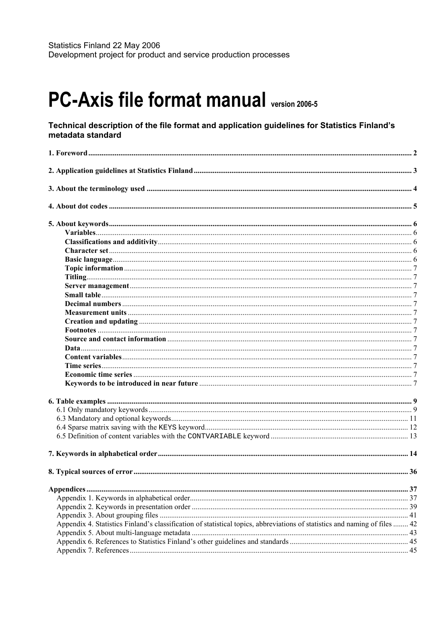# **PC-Axis file format manual version 2006-5**

#### Technical description of the file format and application guidelines for Statistics Finland's metadata standard

| Appendix 4. Statistics Finland's classification of statistical topics, abbreviations of statistics and naming of files  42 |  |
|----------------------------------------------------------------------------------------------------------------------------|--|
|                                                                                                                            |  |
|                                                                                                                            |  |
|                                                                                                                            |  |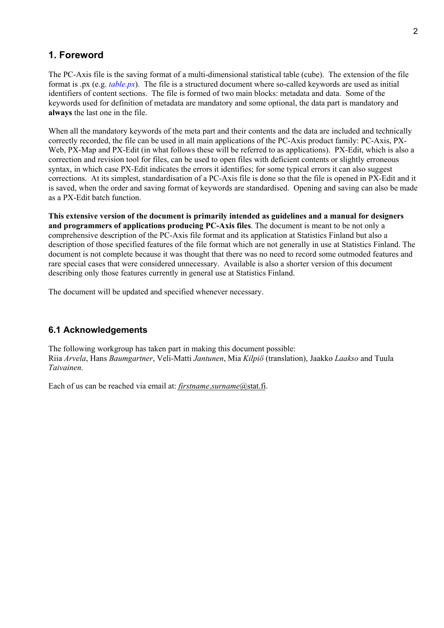# **1. Foreword**

The PC-Axis file is the saving format of a multi-dimensional statistical table (cube). The extension of the file format is .px (e.g. *table.px*). The file is a structured document where so-called keywords are used as initial identifiers of content sections. The file is formed of two main blocks: metadata and data. Some of the keywords used for definition of metadata are mandatory and some optional, the data part is mandatory and **always** the last one in the file.

When all the mandatory keywords of the meta part and their contents and the data are included and technically correctly recorded, the file can be used in all main applications of the PC-Axis product family: PC-Axis, PX-Web, PX-Map and PX-Edit (in what follows these will be referred to as applications). PX-Edit, which is also a correction and revision tool for files, can be used to open files with deficient contents or slightly erroneous syntax, in which case PX-Edit indicates the errors it identifies; for some typical errors it can also suggest corrections. At its simplest, standardisation of a PC-Axis file is done so that the file is opened in PX-Edit and it is saved, when the order and saving format of keywords are standardised. Opening and saving can also be made as a PX-Edit batch function.

**This extensive version of the document is primarily intended as guidelines and a manual for designers and programmers of applications producing PC-Axis files**. The document is meant to be not only a comprehensive description of the PC-Axis file format and its application at Statistics Finland but also a description of those specified features of the file format which are not generally in use at Statistics Finland. The document is not complete because it was thought that there was no need to record some outmoded features and rare special cases that were considered unnecessary. Available is also a shorter version of this document describing only those features currently in general use at Statistics Finland.

The document will be updated and specified whenever necessary.

# **6.1 Acknowledgements**

The following workgroup has taken part in making this document possible: Riia *Arvela*, Hans *Baumgartner*, Veli-Matti *Jantunen*, Mia *Kilpiˆ* (translation), Jaakko *Laakso* and Tuula *Taivainen*.

Each of us can be reached via email at: *firstname*.*surname*@stat.fi.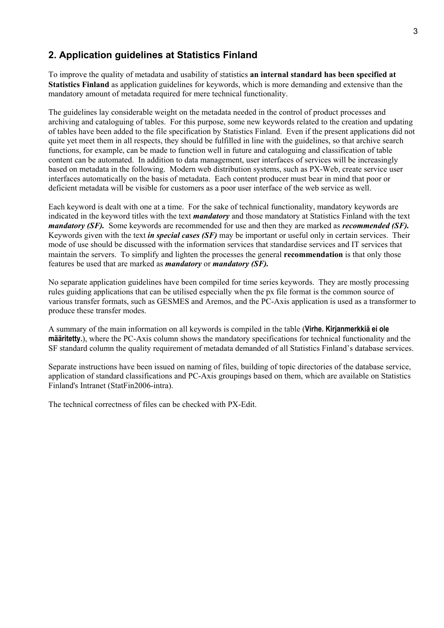# **2. Application guidelines at Statistics Finland**

To improve the quality of metadata and usability of statistics **an internal standard has been specified at Statistics Finland** as application guidelines for keywords, which is more demanding and extensive than the mandatory amount of metadata required for mere technical functionality.

The guidelines lay considerable weight on the metadata needed in the control of product processes and archiving and cataloguing of tables. For this purpose, some new keywords related to the creation and updating of tables have been added to the file specification by Statistics Finland. Even if the present applications did not quite yet meet them in all respects, they should be fulfilled in line with the guidelines, so that archive search functions, for example, can be made to function well in future and cataloguing and classification of table content can be automated. In addition to data management, user interfaces of services will be increasingly based on metadata in the following. Modern web distribution systems, such as PX-Web, create service user interfaces automatically on the basis of metadata. Each content producer must bear in mind that poor or deficient metadata will be visible for customers as a poor user interface of the web service as well.

Each keyword is dealt with one at a time. For the sake of technical functionality, mandatory keywords are indicated in the keyword titles with the text *mandatory* and those mandatory at Statistics Finland with the text *mandatory (SF).* Some keywords are recommended for use and then they are marked as *recommended (SF).* Keywords given with the text *in special cases (SF)* may be important or useful only in certain services. Their mode of use should be discussed with the information services that standardise services and IT services that maintain the servers. To simplify and lighten the processes the general **recommendation** is that only those features be used that are marked as *mandatory* or *mandatory (SF).*

No separate application guidelines have been compiled for time series keywords. They are mostly processing rules guiding applications that can be utilised especially when the px file format is the common source of various transfer formats, such as GESMES and Aremos, and the PC-Axis application is used as a transformer to produce these transfer modes.

A summary of the main information on all keywords is compiled in the table (**Virhe. Kirjanmerkkiä ei ole määritetty.**), where the PC-Axis column shows the mandatory specifications for technical functionality and the SF standard column the quality requirement of metadata demanded of all Statistics Finland's database services.

Separate instructions have been issued on naming of files, building of topic directories of the database service, application of standard classifications and PC-Axis groupings based on them, which are available on Statistics Finland's Intranet (StatFin2006-intra).

The technical correctness of files can be checked with PX-Edit.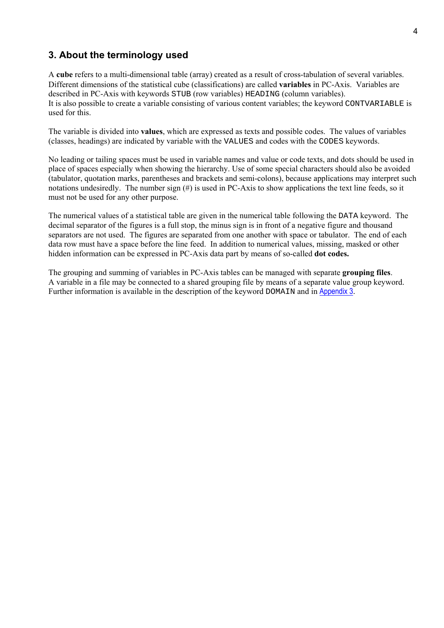# **3. About the terminology used**

A **cube** refers to a multi-dimensional table (array) created as a result of cross-tabulation of several variables. Different dimensions of the statistical cube (classifications) are called **variables** in PC-Axis. Variables are described in PC-Axis with keywords STUB (row variables) HEADING (column variables). It is also possible to create a variable consisting of various content variables; the keyword CONTVARIABLE is used for this.

The variable is divided into **values**, which are expressed as texts and possible codes. The values of variables (classes, headings) are indicated by variable with the VALUES and codes with the CODES keywords.

No leading or tailing spaces must be used in variable names and value or code texts, and dots should be used in place of spaces especially when showing the hierarchy. Use of some special characters should also be avoided (tabulator, quotation marks, parentheses and brackets and semi-colons), because applications may interpret such notations undesiredly. The number sign (#) is used in PC-Axis to show applications the text line feeds, so it must not be used for any other purpose.

The numerical values of a statistical table are given in the numerical table following the DATA keyword. The decimal separator of the figures is a full stop, the minus sign is in front of a negative figure and thousand separators are not used. The figures are separated from one another with space or tabulator. The end of each data row must have a space before the line feed. In addition to numerical values, missing, masked or other hidden information can be expressed in PC-Axis data part by means of so-called **dot codes.**

The grouping and summing of variables in PC-Axis tables can be managed with separate **grouping files**. A variable in a file may be connected to a shared grouping file by means of a separate value group keyword. Further information is available in the description of the keyword DOMAIN and in Appendix 3.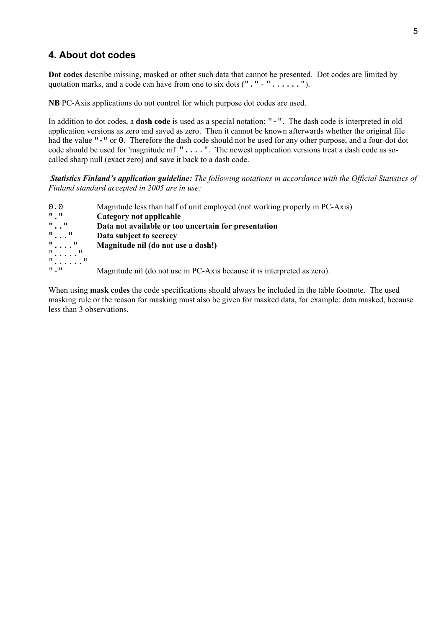# **4. About dot codes**

**Dot codes** describe missing, masked or other such data that cannot be presented. Dot codes are limited by quotation marks, and a code can have from one to six dots ("." - "......").

**NB** PC-Axis applications do not control for which purpose dot codes are used.

In addition to dot codes, a **dash code** is used as a special notation: "-". The dash code is interpreted in old application versions as zero and saved as zero. Then it cannot be known afterwards whether the original file had the value **"-"** or 0. Therefore the dash code should not be used for any other purpose, and a four-dot dot code should be used for 'magnitude nil' " . . . . ". The newest application versions treat a dash code as socalled sharp null (exact zero) and save it back to a dash code.

*Statistics Finland's application guideline: The following notations in accordance with the Official Statistics of Finland standard accepted in 2005 are in use:*

- 0.0 Magnitude less than half of unit employed (not working properly in PC-Axis)
- **"." Category not applicable**<br>".." **Data not available or too**
- **".." Data not available or too uncertain for presentation**
- **"..." Data subject to secrecy**
- **"...." Magnitude nil (do not use a dash!)**
- "....."

"......"

"-" Magnitude nil (do not use in PC-Axis because it is interpreted as zero).

When using **mask codes** the code specifications should always be included in the table footnote. The used masking rule or the reason for masking must also be given for masked data, for example: data masked, because less than 3 observations.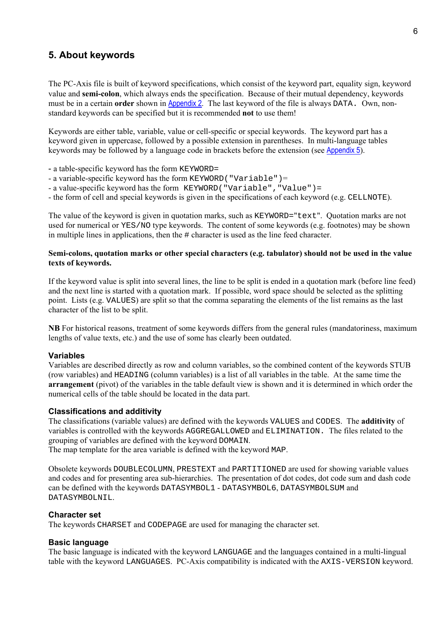# **5. About keywords**

The PC-Axis file is built of keyword specifications, which consist of the keyword part, equality sign, keyword value and **semi-colon**, which always ends the specification. Because of their mutual dependency, keywords must be in a certain **order** shown in Appendix 2. The last keyword of the file is always DATA. Own, nonstandard keywords can be specified but it is recommended **not** to use them!

Keywords are either table, variable, value or cell-specific or special keywords. The keyword part has a keyword given in uppercase, followed by a possible extension in parentheses. In multi-language tables keywords may be followed by a language code in brackets before the extension (see Appendix 5).

- a table-specific keyword has the form KEYWORD=
- a variable-specific keyword has the form KEYWORD("Variable")=
- a value-specific keyword has the form KEYWORD("Variable","Value")=
- the form of cell and special keywords is given in the specifications of each keyword (e.g. CELLNOTE).

The value of the keyword is given in quotation marks, such as KEYWORD="text". Quotation marks are not used for numerical or YES/NO type keywords. The content of some keywords (e.g. footnotes) may be shown in multiple lines in applications, then the # character is used as the line feed character.

#### **Semi-colons, quotation marks or other special characters (e.g. tabulator) should not be used in the value texts of keywords.**

If the keyword value is split into several lines, the line to be split is ended in a quotation mark (before line feed) and the next line is started with a quotation mark. If possible, word space should be selected as the splitting point. Lists (e.g. VALUES) are split so that the comma separating the elements of the list remains as the last character of the list to be split.

**NB** For historical reasons, treatment of some keywords differs from the general rules (mandatoriness, maximum lengths of value texts, etc.) and the use of some has clearly been outdated.

#### **Variables**

Variables are described directly as row and column variables, so the combined content of the keywords STUB (row variables) and HEADING (column variables) is a list of all variables in the table. At the same time the **arrangement** (pivot) of the variables in the table default view is shown and it is determined in which order the numerical cells of the table should be located in the data part.

#### **Classifications and additivity**

The classifications (variable values) are defined with the keywords VALUES and CODES. The **additivity** of variables is controlled with the keywords AGGREGALLOWED and ELIMINATION. The files related to the grouping of variables are defined with the keyword DOMAIN.

The map template for the area variable is defined with the keyword MAP.

Obsolete keywords DOUBLECOLUMN, PRESTEXT and PARTITIONED are used for showing variable values and codes and for presenting area sub-hierarchies. The presentation of dot codes, dot code sum and dash code can be defined with the keywords DATASYMBOL1 - DATASYMBOL6, DATASYMBOLSUM and DATASYMBOLNIL.

#### **Character set**

The keywords CHARSET and CODEPAGE are used for managing the character set.

#### **Basic language**

The basic language is indicated with the keyword LANGUAGE and the languages contained in a multi-lingual table with the keyword LANGUAGES. PC-Axis compatibility is indicated with the AXIS-VERSION keyword.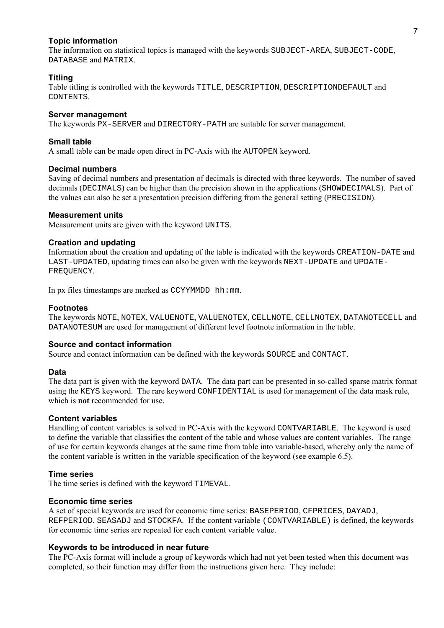#### **Topic information**

The information on statistical topics is managed with the keywords SUBJECT-AREA, SUBJECT-CODE, DATABASE and MATRIX.

#### **Titling**

Table titling is controlled with the keywords TITLE, DESCRIPTION, DESCRIPTIONDEFAULT and CONTENTS.

#### **Server management**

The keywords PX-SERVER and DIRECTORY-PATH are suitable for server management.

#### **Small table**

A small table can be made open direct in PC-Axis with the AUTOPEN keyword.

#### **Decimal numbers**

Saving of decimal numbers and presentation of decimals is directed with three keywords. The number of saved decimals (DECIMALS) can be higher than the precision shown in the applications (SHOWDECIMALS). Part of the values can also be set a presentation precision differing from the general setting (PRECISION).

#### **Measurement units**

Measurement units are given with the keyword UNITS.

#### **Creation and updating**

Information about the creation and updating of the table is indicated with the keywords CREATION-DATE and LAST-UPDATED, updating times can also be given with the keywords NEXT-UPDATE and UPDATE-FREQUENCY.

In px files timestamps are marked as  $CCYYMMDD$  hh:mm.

#### **Footnotes**

The keywords NOTE, NOTEX, VALUENOTE, VALUENOTEX, CELLNOTE, CELLNOTEX, DATANOTECELL and DATANOTESUM are used for management of different level footnote information in the table.

#### **Source and contact information**

Source and contact information can be defined with the keywords SOURCE and CONTACT.

#### **Data**

The data part is given with the keyword DATA. The data part can be presented in so-called sparse matrix format using the KEYS keyword. The rare keyword CONFIDENTIAL is used for management of the data mask rule, which is **not** recommended for use.

#### **Content variables**

Handling of content variables is solved in PC-Axis with the keyword CONTVARIABLE. The keyword is used to define the variable that classifies the content of the table and whose values are content variables. The range of use for certain keywords changes at the same time from table into variable-based, whereby only the name of the content variable is written in the variable specification of the keyword (see example 6.5).

#### **Time series**

The time series is defined with the keyword TIMEVAL.

#### **Economic time series**

A set of special keywords are used for economic time series: BASEPERIOD, CFPRICES, DAYADJ, REFPERIOD, SEASADJ and STOCKFA. If the content variable (CONTVARIABLE) is defined, the keywords for economic time series are repeated for each content variable value.

#### **Keywords to be introduced in near future**

The PC-Axis format will include a group of keywords which had not yet been tested when this document was completed, so their function may differ from the instructions given here. They include: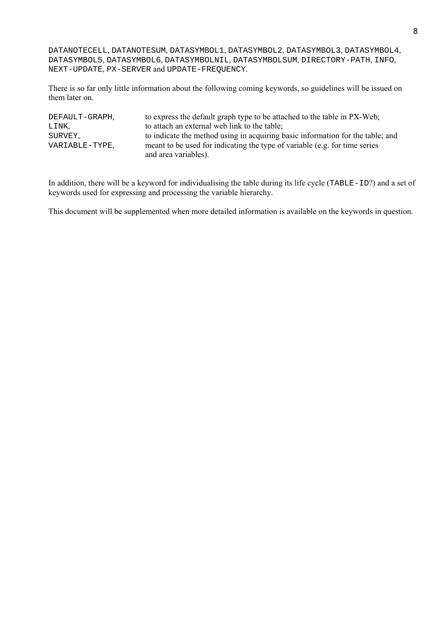DATANOTECELL, DATANOTESUM, DATASYMBOL1, DATASYMBOL2, DATASYMBOL3, DATASYMBOL4, DATASYMBOL5, DATASYMBOL6, DATASYMBOLNIL, DATASYMBOLSUM, DIRECTORY-PATH, INFO, NEXT-UPDATE, PX-SERVER and UPDATE-FREQUENCY.

There is so far only little information about the following coming keywords, so guidelines will be issued on them later on.

| DEFAULT-GRAPH. | to express the default graph type to be attached to the table in PX-Web;       |
|----------------|--------------------------------------------------------------------------------|
| LINK.          | to attach an external web link to the table;                                   |
| SURVEY.        | to indicate the method using in acquiring basic information for the table; and |
| VARIABLE-TYPE. | meant to be used for indicating the type of variable (e.g. for time series     |
|                | and area variables).                                                           |

In addition, there will be a keyword for individualising the table during its life cycle (TABLE-ID?) and a set of keywords used for expressing and processing the variable hierarchy.

This document will be supplemented when more detailed information is available on the keywords in question.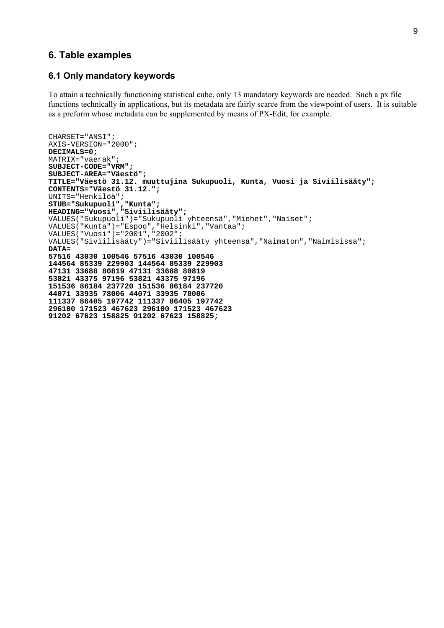### **6. Table examples**

#### **6.1 Only mandatory keywords**

To attain a technically functioning statistical cube, only 13 mandatory keywords are needed. Such a px file functions technically in applications, but its metadata are fairly scarce from the viewpoint of users. It is suitable as a preform whose metadata can be supplemented by means of PX-Edit, for example.

```
CHARSET="ANSI";
AXIS-VERSION="2000";
DECIMALS=0;
MATRIX="vaerak";
SUBJECT-CODE="VRM";
SUBJECT-AREA="Väestö";
TITLE="Väestö 31.12. muuttujina Sukupuoli, Kunta, Vuosi ja Siviilisääty";
CONTENTS="Väestö 31.12.";
UNITS="Henkilöä";
STUB="Sukupuoli","Kunta";
HEADING="Vuosi","Siviilisääty";
VALUES("Sukupuoli")="Sukupuoli yhteensä","Miehet","Naiset";
VALUES("Kunta")="Espoo","Helsinki","Vantaa";
VALUES("Vuosi")="2001","2002";
VALUES("Siviilisääty")="Siviilisääty yhteensä","Naimaton","Naimisissa";
DATA=
57516 43030 100546 57516 43030 100546
144564 85339 229903 144564 85339 229903
47131 33688 80819 47131 33688 80819
53821 43375 97196 53821 43375 97196
151536 86184 237720 151536 86184 237720
44071 33935 78006 44071 33935 78006
111337 86405 197742 111337 86405 197742
296100 171523 467623 296100 171523 467623
91202 67623 158825 91202 67623 158825;
```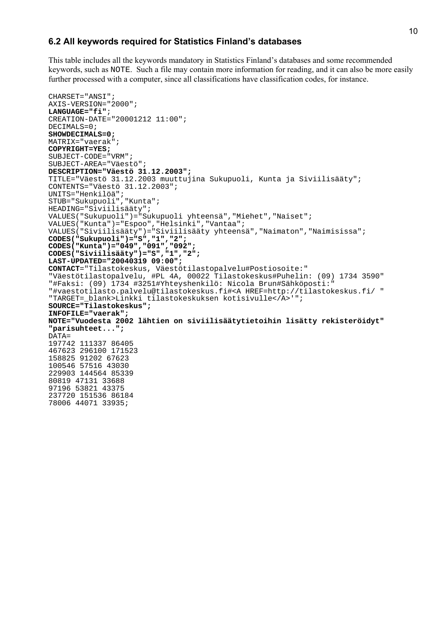#### **6.2 All keywords required for Statistics Finlandís databases**

This table includes all the keywords mandatory in Statistics Finland's databases and some recommended keywords, such as NOTE. Such a file may contain more information for reading, and it can also be more easily further processed with a computer, since all classifications have classification codes, for instance.

```
CHARSET="ANSI";
AXIS-VERSION="2000";
LANGUAGE="fi";
CREATION-DATE="20001212 11:00";
DECIMALS=0;
SHOWDECIMALS=0;
MATRIX="vaerak";
COPYRIGHT=YES;
SUBJECT-CODE="VRM";
SUBJECT-AREA="Väestö";
DESCRIPTION="Väestö 31.12.2003";
TITLE="Väestö 31.12.2003 muuttujina Sukupuoli, Kunta ja Siviilisääty";
CONTENTS="Väestö 31.12.2003";
UNITS="Henkilöä";
STUB="Sukupuoli","Kunta";
HEADING="Siviilisääty";
VALUES("Sukupuoli")="Sukupuoli yhteensä","Miehet","Naiset";
VALUES("Kunta")="Espoo","Helsinki","Vantaa";
VALUES("Siviilisääty")="Siviilisääty yhteensä","Naimaton","Naimisissa";
CODES("Sukupuoli")="S","1","2";
CODES("Kunta")="049","091","092";
CODES("Siviilisääty")="S","1","2";
LAST-UPDATED="20040319 09:00";
CONTACT="Tilastokeskus, Väestötilastopalvelu#Postiosoite:"
"Väestötilastopalvelu, #PL 4A, 00022 Tilastokeskus#Puhelin: (09) 1734 3590"
"#Faksi: (09) 1734 #3251#Yhteyshenkilö: Nicola Brun#Sähköposti:"
"#vaestotilasto.palvelu@tilastokeskus.fi#<A HREF=http://tilastokeskus.fi/ "
"TARGET=_blank>Linkki tilastokeskuksen kotisivulle</A>'";
SOURCE="Tilastokeskus";
INFOFILE="vaerak";
NOTE="Vuodesta 2002 lähtien on siviilisäätytietoihin lisätty rekisteröidyt"
"parisuhteet...";
DATA=
197742 111337 86405
467623 296100 171523
158825 91202 67623
100546 57516 43030
229903 144564 85339
80819 47131 33688
97196 53821 43375
237720 151536 86184
78006 44071 33935;
```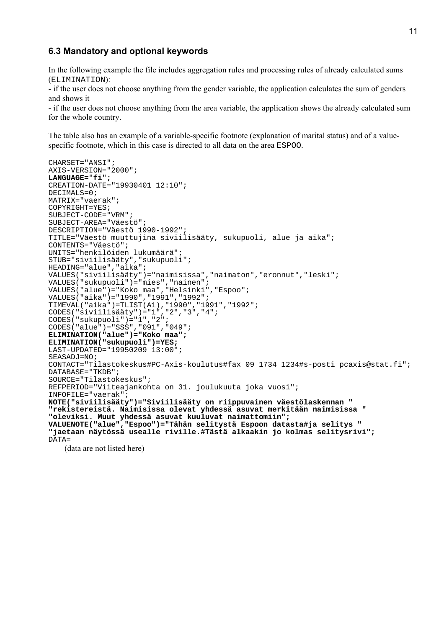#### **6.3 Mandatory and optional keywords**

In the following example the file includes aggregation rules and processing rules of already calculated sums (ELIMINATION):

- if the user does not choose anything from the gender variable, the application calculates the sum of genders and shows it

- if the user does not choose anything from the area variable, the application shows the already calculated sum for the whole country.

The table also has an example of a variable-specific footnote (explanation of marital status) and of a valuespecific footnote, which in this case is directed to all data on the area ESPOO.

```
CHARSET="ANSI";
AXIS-VERSION="2000";
LANGUAGE="fi";
CREATION-DATE="19930401 12:10";
DECIMALS=0;
MATRIX="vaerak";
COPYRIGHT=YES;
SUBJECT-CODE="VRM";
SUBJECT-AREA="Väestö";
DESCRIPTION="Väestö 1990-1992";
TITLE="Väestö muuttujina siviilisääty, sukupuoli, alue ja aika";
CONTENTS="Väestö";
UNITS="henkilöiden lukumäärä";
STUB="siviilisääty","sukupuoli";
HEADING="alue","aika";
VALUES("siviilisääty")="naimisissa","naimaton","eronnut","leski";
VALUES("sukupuoli")="mies","nainen";
VALUES("alue")="Koko maa","Helsinki","Espoo";
VALUES("aika")="1990","1991","1992";
TIMEVAL("aika")=TLIST(A1),"1990","1991","1992";
CODES("siviilisääty")="1","2","3","4";
CODES("sukupuoli")="1","2";
CODES("alue")="SSS","091","049";
ELIMINATION("alue")="Koko maa";
ELIMINATION("sukupuoli")=YES;
LAST-UPDATED="19950209 13:00";
SEASADJ=NO;
CONTACT="Tilastokeskus#PC-Axis-koulutus#fax 09 1734 1234#s-posti pcaxis@stat.fi";
DATABASE="TKDB";
SOURCE="Tilastokeskus";
REFPERIOD="Viiteajankohta on 31. joulukuuta joka vuosi";
INFOFILE="vaerak";
NOTE("siviilisääty")="Siviilisääty on riippuvainen väestölaskennan "
"rekistereistä. Naimisissa olevat yhdessä asuvat merkitään naimisissa "
"oleviksi. Muut yhdessä asuvat kuuluvat naimattomiin";
VALUENOTE("alue","Espoo")="Tähän selitystä Espoon datasta#ja selitys "
"jaetaan näytössä usealle riville.#Tästä alkaakin jo kolmas selitysrivi";
DATA=
   (data are not listed here)
```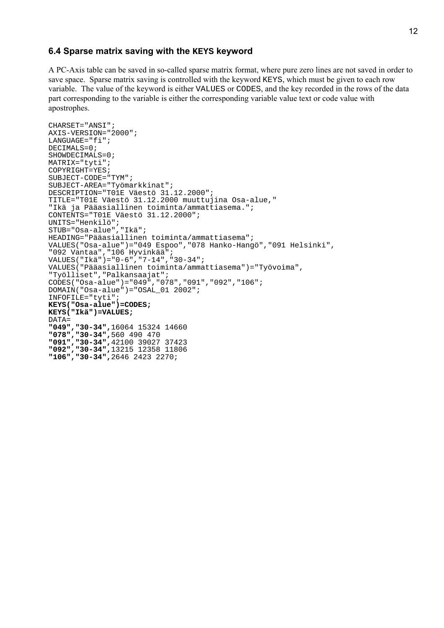#### **6.4 Sparse matrix saving with the KEYS keyword**

A PC-Axis table can be saved in so-called sparse matrix format, where pure zero lines are not saved in order to save space. Sparse matrix saving is controlled with the keyword KEYS, which must be given to each row variable. The value of the keyword is either VALUES or CODES, and the key recorded in the rows of the data part corresponding to the variable is either the corresponding variable value text or code value with apostrophes.

```
CHARSET="ANSI";
AXIS-VERSION="2000";
LANGUAGE="fi";
DECIMALS=0;
SHOWDECIMALS=0;
MATRIX="tyti";
COPYRIGHT=YES;
SUBJECT-CODE="TYM";
SUBJECT-AREA="Työmarkkinat";
DESCRIPTION="T01E Väestö 31.12.2000";
TITLE="T01E Väestö 31.12.2000 muuttujina Osa-alue,"
"Ikä ja Pääasiallinen toiminta/ammattiasema.";
CONTENTS="T01E Väestö 31.12.2000";
UNITS="Henkilö";
STUB="Osa-alue","Ikä";
HEADING="Pääasiallinen toiminta/ammattiasema";
VALUES("Osa-alue")="049 Espoo","078 Hanko-Hangö","091 Helsinki",
"092 Vantaa","106 Hyvinkää";
VALUES("Ikä")="0-6","7-14","30-34";
VALUES("Pääasiallinen toiminta/ammattiasema")="Työvoima",
"Työlliset","Palkansaajat";
CODES("Osa-alue")="049","078","091","092","106";
DOMAIN("Osa-alue")="OSAL_01 2002";
INFOFILE="tyti";
KEYS("Osa-alue")=CODES;
KEYS("Ikä")=VALUES;
DATA=
"049","30-34",16064 15324 14660
"078","30-34",560 490 470
"091","30-34",42100 39027 37423
"092","30-34",13215 12358 11806
"106","30-34",2646 2423 2270;
```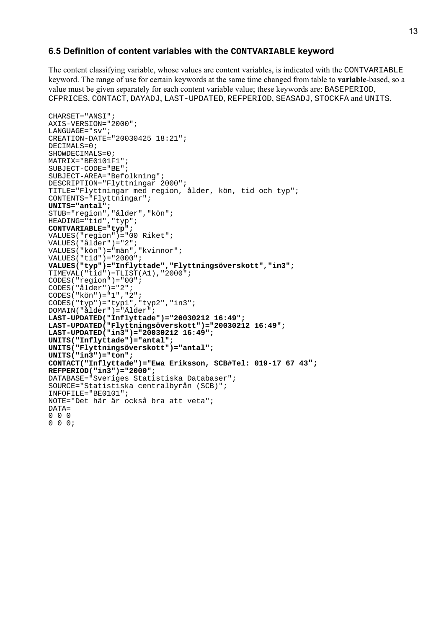#### **6.5 Definition of content variables with the CONTVARIABLE keyword**

The content classifying variable, whose values are content variables, is indicated with the CONTVARIABLE keyword. The range of use for certain keywords at the same time changed from table to **variable**-based, so a value must be given separately for each content variable value; these keywords are: BASEPERIOD, CFPRICES, CONTACT, DAYADJ, LAST-UPDATED, REFPERIOD, SEASADJ, STOCKFA and UNITS.

```
CHARSET="ANSI";
AXIS-VERSION="2000";
LANGUAGE="sv";
CREATION-DATE="20030425 18:21";
DECIMALS=0;
SHOWDFCTMAT.S=0;MATRIX="BE0101F1";
SUBJECT-CODE="BE";
SUBJECT-AREA="Befolkning";
DESCRIPTION="Flyttningar 2000";
TITLE="Flyttningar med region, ålder, kön, tid och typ";
CONTENTS="Flyttningar";
UNITS="antal";
STUB="region","ålder","kön";
HEADING="tid","typ";
CONTVARIABLE="typ";
VALUES("region")="00 Riket";
VALUES("ålder")="2";
VALUES("kön")="män","kvinnor";
VALUES("tid") = "2000";VALUES("typ")="Inflyttade","Flyttningsöverskott","in3";
TIMEVAL("tid")=TLIST(A1),"2000";
CODES("region")="00";
CODES("ålder") = "2";
CODES("kön")="1","2";
CODES("typ") = "typ1", "typ2", "in3";DOMAIN("ålder")="Ålder";
LAST-UPDATED("Inflyttade")="20030212 16:49";
LAST-UPDATED("Flyttningsöverskott")="20030212 16:49";
LAST-UPDATED("in3")="20030212 16:49";
UNITS("Inflyttade")="antal";
UNITS("Flyttningsöverskott")="antal";
UNITS("in3")="ton";
CONTACT("Inflyttade")="Ewa Eriksson, SCB#Tel: 019-17 67 43";
REFPERIOD("in3")="2000";
DATABASE="Sveriges Statistiska Databaser";
SOURCE="Statistiska centralbyrån (SCB)";
INFOFILE="BE0101";
NOTE="Det här är också bra att veta";
DATA=
0 0 0
0 0 0;
```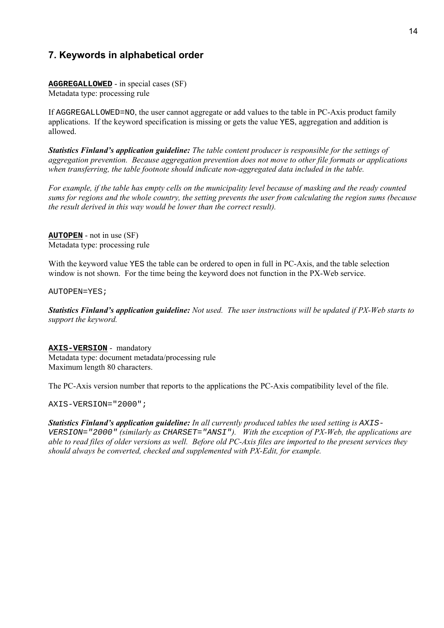# **7. Keywords in alphabetical order**

**AGGREGALLOWED** - in special cases (SF) Metadata type: processing rule

If AGGREGALLOWED=NO, the user cannot aggregate or add values to the table in PC-Axis product family applications. If the keyword specification is missing or gets the value YES, aggregation and addition is allowed.

*Statistics Finlandís application guideline: The table content producer is responsible for the settings of aggregation prevention. Because aggregation prevention does not move to other file formats or applications when transferring, the table footnote should indicate non-aggregated data included in the table.*

*For example, if the table has empty cells on the municipality level because of masking and the ready counted sums for regions and the whole country, the setting prevents the user from calculating the region sums (because the result derived in this way would be lower than the correct result).*

**AUTOPEN** - not in use (SF) Metadata type: processing rule

With the keyword value YES the table can be ordered to open in full in PC-Axis, and the table selection window is not shown. For the time being the keyword does not function in the PX-Web service.

AUTOPEN=YES;

*Statistics Finlandís application guideline: Not used. The user instructions will be updated if PX-Web starts to support the keyword.*

**AXIS-VERSION** - mandatory Metadata type: document metadata/processing rule Maximum length 80 characters.

The PC-Axis version number that reports to the applications the PC-Axis compatibility level of the file.

AXIS-VERSION="2000";

**Statistics Finland's application guideline:** In all currently produced tables the used setting is AXIS-VERSION="2000" *(similarly as* CHARSET="ANSI"*). With the exception of PX-Web, the applications are able to read files of older versions as well. Before old PC-Axis files are imported to the present services they should always be converted, checked and supplemented with PX-Edit, for example.*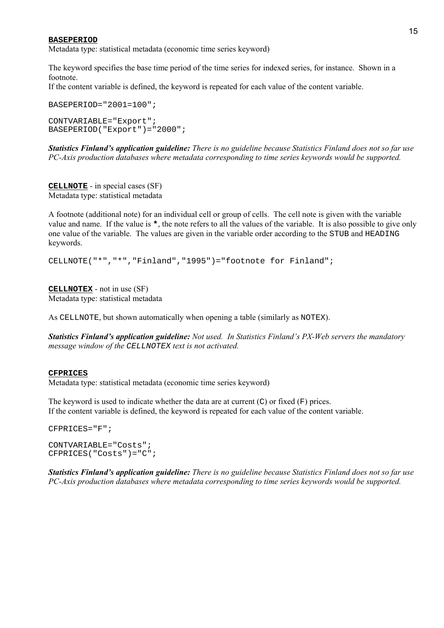#### **BASEPERIOD**

Metadata type: statistical metadata (economic time series keyword)

The keyword specifies the base time period of the time series for indexed series, for instance. Shown in a footnote.

If the content variable is defined, the keyword is repeated for each value of the content variable.

BASEPERIOD="2001=100"; CONTVARIABLE="Export"; BASEPERIOD("Export")="2000";

*Statistics Finlandís application guideline: There is no guideline because Statistics Finland does not so far use PC-Axis production databases where metadata corresponding to time series keywords would be supported.*

**CELLNOTE** - in special cases (SF) Metadata type: statistical metadata

A footnote (additional note) for an individual cell or group of cells. The cell note is given with the variable value and name. If the value is **\***, the note refers to all the values of the variable. It is also possible to give only one value of the variable. The values are given in the variable order according to the STUB and HEADING keywords.

CELLNOTE("\*","\*","Finland","1995")="footnote for Finland";

**CELLNOTEX** - not in use (SF) Metadata type: statistical metadata

As CELLNOTE, but shown automatically when opening a table (similarly as NOTEX).

*Statistics Finlandís application guideline: Not used. In Statistics Finlandís PX-Web servers the mandatory message window of the* CELLNOTEX *text is not activated.*

#### **CFPRICES**

Metadata type: statistical metadata (economic time series keyword)

The keyword is used to indicate whether the data are at current  $(C)$  or fixed  $(F)$  prices. If the content variable is defined, the keyword is repeated for each value of the content variable.

```
CFPRICES="F";
CONTVARIABLE="Costs";
CFPRICES("Costs")="C";
```
*Statistics Finland's application guideline: There is no guideline because Statistics Finland does not so far use PC-Axis production databases where metadata corresponding to time series keywords would be supported.*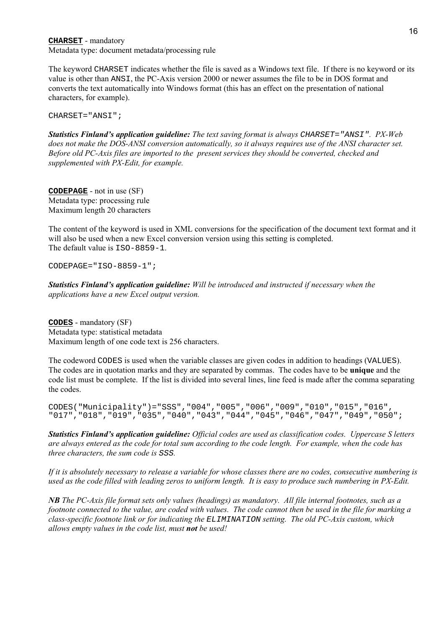**CHARSET** - mandatory Metadata type: document metadata/processing rule

The keyword CHARSET indicates whether the file is saved as a Windows text file. If there is no keyword or its value is other than ANSI, the PC-Axis version 2000 or newer assumes the file to be in DOS format and converts the text automatically into Windows format (this has an effect on the presentation of national characters, for example).

CHARSET="ANSI";

*Statistics Finlandís application guideline: The text saving format is always* CHARSET="ANSI"*. PX-Web does not make the DOS-ANSI conversion automatically, so it always requires use of the ANSI character set. Before old PC-Axis files are imported to the present services they should be converted, checked and supplemented with PX-Edit, for example.*

**CODEPAGE** - not in use (SF) Metadata type: processing rule Maximum length 20 characters

The content of the keyword is used in XML conversions for the specification of the document text format and it will also be used when a new Excel conversion version using this setting is completed. The default value is  $TSO-8859-1$ .

CODEPAGE="ISO-8859-1";

*Statistics Finlandís application guideline: Will be introduced and instructed if necessary when the applications have a new Excel output version.*

**CODES** - mandatory (SF) Metadata type: statistical metadata Maximum length of one code text is 256 characters.

The codeword CODES is used when the variable classes are given codes in addition to headings (VALUES). The codes are in quotation marks and they are separated by commas. The codes have to be **unique** and the code list must be complete. If the list is divided into several lines, line feed is made after the comma separating the codes.

```
CODES("Municipality")="SSS","004","005","006","009","010","015","016",
"017","018","019","035","040","043","044","045","046","047","049","050";
```
*Statistics Finlandís application guideline: Official codes are used as classification codes. Uppercase S letters are always entered as the code for total sum according to the code length. For example, when the code has three characters, the sum code is* SSS*.*

*If it is absolutely necessary to release a variable for whose classes there are no codes, consecutive numbering is used as the code filled with leading zeros to uniform length. It is easy to produce such numbering in PX-Edit.*

*NB The PC-Axis file format sets only values (headings) as mandatory. All file internal footnotes, such as a footnote connected to the value, are coded with values. The code cannot then be used in the file for marking a class-specific footnote link or for indicating the* ELIMINATION *setting. The old PC-Axis custom, which allows empty values in the code list, must not be used!*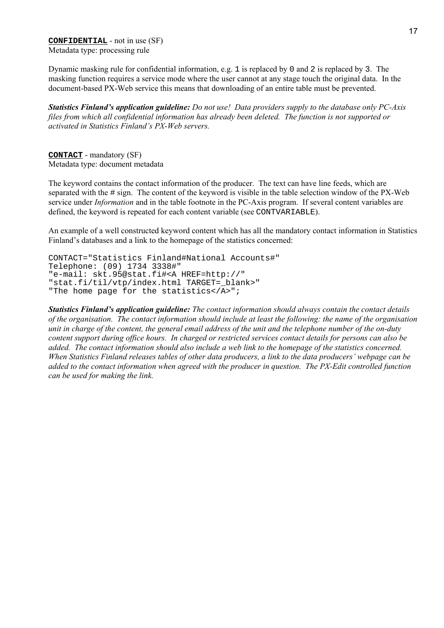**CONFIDENTIAL** - not in use (SF) Metadata type: processing rule

Dynamic masking rule for confidential information, e.g. 1 is replaced by 0 and 2 is replaced by 3. The masking function requires a service mode where the user cannot at any stage touch the original data. In the document-based PX-Web service this means that downloading of an entire table must be prevented.

*Statistics Finlandís application guideline: Do not use! Data providers supply to the database only PC-Axis files from which all confidential information has already been deleted. The function is not supported or activated in Statistics Finland's PX-Web servers.* 

**CONTACT** - mandatory (SF) Metadata type: document metadata

The keyword contains the contact information of the producer. The text can have line feeds, which are separated with the # sign. The content of the keyword is visible in the table selection window of the PX-Web service under *Information* and in the table footnote in the PC-Axis program. If several content variables are defined, the keyword is repeated for each content variable (see CONTVARIABLE).

An example of a well constructed keyword content which has all the mandatory contact information in Statistics Finland's databases and a link to the homepage of the statistics concerned:

```
CONTACT="Statistics Finland#National Accounts#"
Telephone: (09) 1734 3338#"
"e-mail: skt.95@stat.fi#<A HREF=http://"
"stat.fi/til/vtp/index.html TARGET=_blank>"
"The home page for the statistics</A>";
```
*Statistics Finlandís application guideline: The contact information should always contain the contact details of the organisation. The contact information should include at least the following: the name of the organisation unit in charge of the content, the general email address of the unit and the telephone number of the on-duty content support during office hours. In charged or restricted services contact details for persons can also be added. The contact information should also include a web link to the homepage of the statistics concerned. When Statistics Finland releases tables of other data producers, a link to the data producers' webpage can be added to the contact information when agreed with the producer in question. The PX-Edit controlled function can be used for making the link.*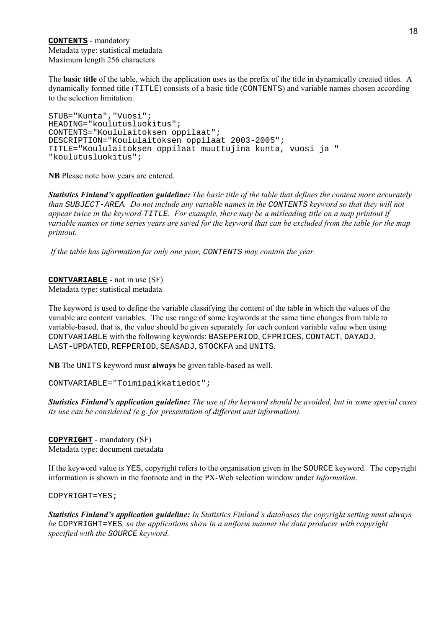**CONTENTS** - mandatory Metadata type: statistical metadata Maximum length 256 characters

The **basic title** of the table, which the application uses as the prefix of the title in dynamically created titles. A dynamically formed title (TITLE) consists of a basic title (CONTENTS) and variable names chosen according to the selection limitation.

STUB="Kunta","Vuosi"; HEADING="koulutusluokitus"; CONTENTS="Koululaitoksen oppilaat"; DESCRIPTION="Koululaitoksen oppilaat 2003-2005"; TITLE="Koululaitoksen oppilaat muuttujina kunta, vuosi ja " "koulutusluokitus";

**NB** Please note how years are entered.

*Statistics Finlandís application guideline: The basic title of the table that defines the content more accurately than* SUBJECT-AREA*. Do not include any variable names in the* CONTENTS *keyword so that they will not appear twice in the keyword* TITLE*. For example, there may be a misleading title on a map printout if variable names or time series years are saved for the keyword that can be excluded from the table for the map printout.*

 *If the table has information for only one year,* CONTENTS *may contain the year.*

**CONTVARIABLE** - not in use (SF) Metadata type: statistical metadata

The keyword is used to define the variable classifying the content of the table in which the values of the variable are content variables. The use range of some keywords at the same time changes from table to variable-based, that is, the value should be given separately for each content variable value when using CONTVARIABLE with the following keywords: BASEPERIOD, CFPRICES, CONTACT, DAYADJ, LAST-UPDATED, REFPERIOD, SEASADJ, STOCKFA and UNITS.

**NB** The UNITS keyword must **always** be given table-based as well.

CONTVARIABLE="Toimipaikkatiedot";

*Statistics Finlandís application guideline: The use of the keyword should be avoided, but in some special cases its use can be considered (e.g. for presentation of different unit information).*

**COPYRIGHT** - mandatory (SF) Metadata type: document metadata

If the keyword value is YES, copyright refers to the organisation given in the SOURCE keyword. The copyright information is shown in the footnote and in the PX-Web selection window under *Information*.

COPYRIGHT=YES;

*Statistics Finland's application guideline: In Statistics Finland's databases the copyright setting must always be* COPYRIGHT=YES*, so the applications show in a uniform manner the data producer with copyright specified with the* SOURCE *keyword.*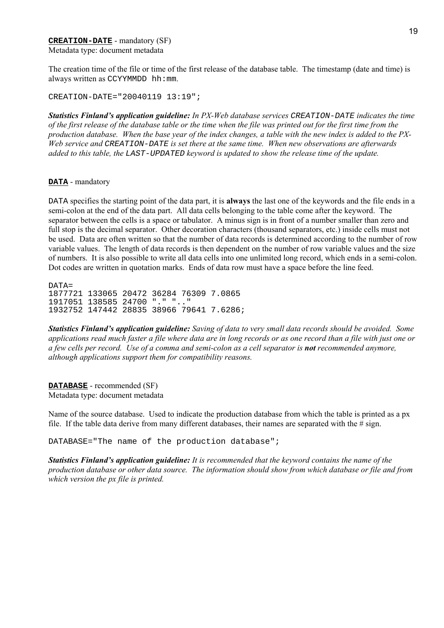#### **CREATION-DATE** - mandatory (SF) Metadata type: document metadata

The creation time of the file or time of the first release of the database table. The timestamp (date and time) is always written as CCYYMMDD hh:mm.

CREATION-DATE="20040119 13:19";

*Statistics Finlandís application guideline: In PX-Web database services* CREATION-DATE *indicates the time of the first release of the database table or the time when the file was printed out for the first time from the production database. When the base year of the index changes, a table with the new index is added to the PX-Web service and* CREATION-DATE *is set there at the same time. When new observations are afterwards added to this table, the* LAST-UPDATED *keyword is updated to show the release time of the update.*

#### **DATA** - mandatory

DATA specifies the starting point of the data part, it is **always** the last one of the keywords and the file ends in a semi-colon at the end of the data part. All data cells belonging to the table come after the keyword. The separator between the cells is a space or tabulator. A minus sign is in front of a number smaller than zero and full stop is the decimal separator. Other decoration characters (thousand separators, etc.) inside cells must not be used. Data are often written so that the number of data records is determined according to the number of row variable values. The length of data records is then dependent on the number of row variable values and the size of numbers. It is also possible to write all data cells into one unlimited long record, which ends in a semi-colon. Dot codes are written in quotation marks. Ends of data row must have a space before the line feed.

 $D\Delta T\Delta$ -1877721 133065 20472 36284 76309 7.0865 1917051 138585 24700 "." ".." 1932752 147442 28835 38966 79641 7.6286;

*Statistics Finlandís application guideline: Saving of data to very small data records should be avoided. Some applications read much faster a file where data are in long records or as one record than a file with just one or a few cells per record. Use of a comma and semi-colon as a cell separator is not recommended anymore, although applications support them for compatibility reasons.*

**DATABASE** - recommended (SF) Metadata type: document metadata

Name of the source database. Used to indicate the production database from which the table is printed as a px file. If the table data derive from many different databases, their names are separated with the  $\#$  sign.

DATABASE="The name of the production database";

*Statistics Finland's application guideline: It is recommended that the keyword contains the name of the production database or other data source. The information should show from which database or file and from which version the px file is printed.*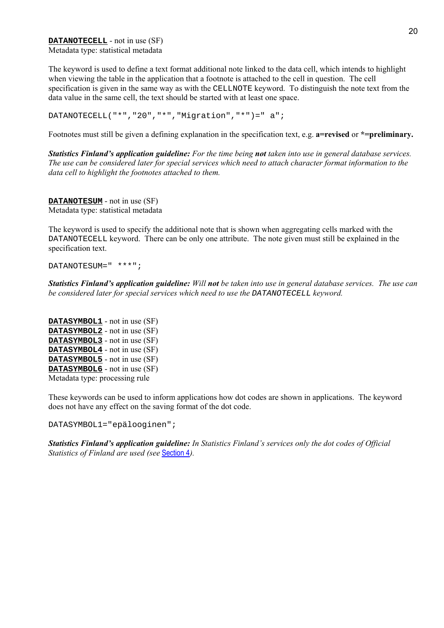**DATANOTECELL** - not in use (SF) Metadata type: statistical metadata

The keyword is used to define a text format additional note linked to the data cell, which intends to highlight when viewing the table in the application that a footnote is attached to the cell in question. The cell specification is given in the same way as with the CELLNOTE keyword. To distinguish the note text from the data value in the same cell, the text should be started with at least one space.

DATANOTECELL("\*","20","\*","Migration","\*")=" a";

Footnotes must still be given a defining explanation in the specification text, e.g. **a=revised** or **\*=preliminary.** 

*Statistics Finlandís application guideline: For the time being not taken into use in general database services. The use can be considered later for special services which need to attach character format information to the data cell to highlight the footnotes attached to them.*

**DATANOTESUM** - not in use (SF) Metadata type: statistical metadata

The keyword is used to specify the additional note that is shown when aggregating cells marked with the DATANOTECELL keyword. There can be only one attribute. The note given must still be explained in the specification text.

DATANOTESUM=" \*\*\*";

*Statistics Finlandís application guideline: Will not be taken into use in general database services. The use can be considered later for special services which need to use the* DATANOTECELL *keyword.*

**DATASYMBOL1** - not in use (SF) **DATASYMBOL2** - not in use (SF) **DATASYMBOL3** - not in use (SF) **DATASYMBOL4** - not in use (SF) **DATASYMBOL5** - not in use (SF) **DATASYMBOL6** - not in use (SF) Metadata type: processing rule

These keywords can be used to inform applications how dot codes are shown in applications. The keyword does not have any effect on the saving format of the dot code.

DATASYMBOL1="epälooginen";

*Statistics Finland's application guideline: In Statistics Finland's services only the dot codes of Official Statistics of Finland are used (see* Section 4*).*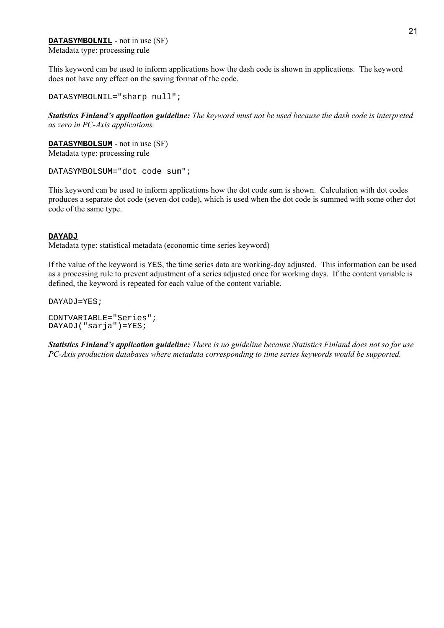**DATASYMBOLNIL** - not in use (SF) Metadata type: processing rule

This keyword can be used to inform applications how the dash code is shown in applications. The keyword does not have any effect on the saving format of the code.

DATASYMBOLNIL="sharp null";

*Statistics Finlandís application guideline: The keyword must not be used because the dash code is interpreted as zero in PC-Axis applications.*

**DATASYMBOLSUM** - not in use (SF) Metadata type: processing rule

DATASYMBOLSUM="dot code sum";

This keyword can be used to inform applications how the dot code sum is shown. Calculation with dot codes produces a separate dot code (seven-dot code), which is used when the dot code is summed with some other dot code of the same type.

#### **DAYADJ**

Metadata type: statistical metadata (economic time series keyword)

If the value of the keyword is YES, the time series data are working-day adjusted. This information can be used as a processing rule to prevent adjustment of a series adjusted once for working days. If the content variable is defined, the keyword is repeated for each value of the content variable.

DAYADJ=YES;

CONTVARIABLE="Series"; DAYADJ("sarja")=YES;

*Statistics Finlandís application guideline: There is no guideline because Statistics Finland does not so far use PC-Axis production databases where metadata corresponding to time series keywords would be supported.*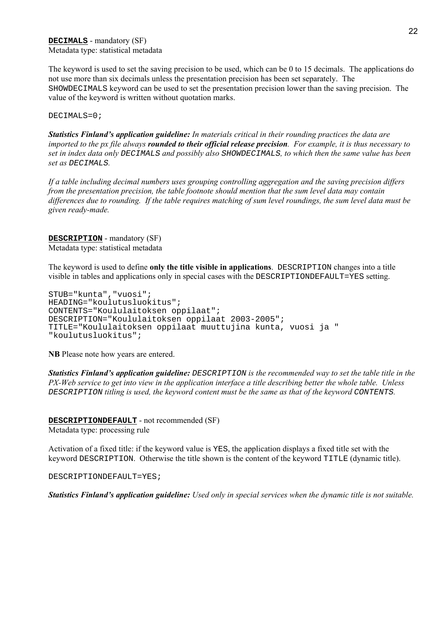The keyword is used to set the saving precision to be used, which can be 0 to 15 decimals. The applications do not use more than six decimals unless the presentation precision has been set separately. The SHOWDECIMALS keyword can be used to set the presentation precision lower than the saving precision. The value of the keyword is written without quotation marks.

DECIMALS=0;

*Statistics Finlandís application guideline: In materials critical in their rounding practices the data are imported to the px file always rounded to their official release precision. For example, it is thus necessary to set in index data only* DECIMALS *and possibly also* SHOWDECIMALS*, to which then the same value has been set as* DECIMALS*.*

*If a table including decimal numbers uses grouping controlling aggregation and the saving precision differs from the presentation precision, the table footnote should mention that the sum level data may contain differences due to rounding. If the table requires matching of sum level roundings, the sum level data must be given ready-made.*

**DESCRIPTION** - mandatory (SF) Metadata type: statistical metadata

The keyword is used to define **only the title visible in applications**. DESCRIPTION changes into a title visible in tables and applications only in special cases with the DESCRIPTIONDEFAULT=YES setting.

```
STUB="kunta","vuosi";
HEADING="koulutusluokitus";
CONTENTS="Koululaitoksen oppilaat";
DESCRIPTION="Koululaitoksen oppilaat 2003-2005";
TITLE="Koululaitoksen oppilaat muuttujina kunta, vuosi ja "
"koulutusluokitus";
```
**NB** Please note how years are entered.

*Statistics Finland's application guideline: DESCRIPTION is the recommended way to set the table title in the PX-Web service to get into view in the application interface a title describing better the whole table. Unless* DESCRIPTION *titling is used, the keyword content must be the same as that of the keyword* CONTENTS*.*

**DESCRIPTIONDEFAULT** - not recommended (SF) Metadata type: processing rule

Activation of a fixed title: if the keyword value is YES, the application displays a fixed title set with the keyword DESCRIPTION. Otherwise the title shown is the content of the keyword TITLE (dynamic title).

DESCRIPTIONDEFAULT=YES;

*Statistics Finlandís application guideline: Used only in special services when the dynamic title is not suitable.*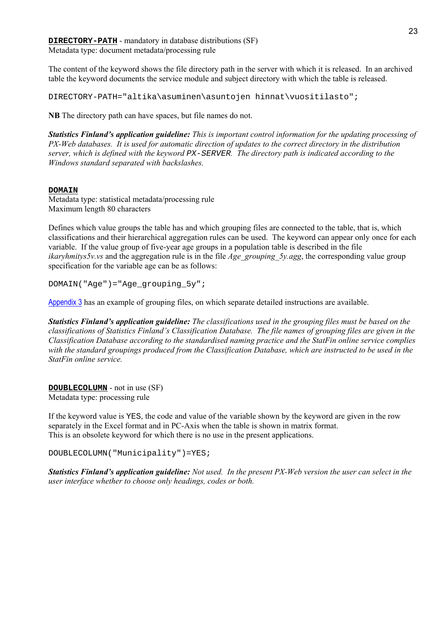**DIRECTORY-PATH** - mandatory in database distributions (SF) Metadata type: document metadata/processing rule

The content of the keyword shows the file directory path in the server with which it is released. In an archived table the keyword documents the service module and subject directory with which the table is released.

DIRECTORY-PATH="altika\asuminen\asuntojen hinnat\vuositilasto";

**NB** The directory path can have spaces, but file names do not.

*Statistics Finland's application guideline: This is important control information for the updating processing of PX-Web databases. It is used for automatic direction of updates to the correct directory in the distribution server, which is defined with the keyword* PX-SERVER*. The directory path is indicated according to the Windows standard separated with backslashes.*

#### **DOMAIN**

Metadata type: statistical metadata/processing rule Maximum length 80 characters

Defines which value groups the table has and which grouping files are connected to the table, that is, which classifications and their hierarchical aggregation rules can be used. The keyword can appear only once for each variable. If the value group of five-year age groups in a population table is described in the file *ikaryhmitys5v.vs* and the aggregation rule is in the file *Age\_grouping\_5y.agg*, the corresponding value group specification for the variable age can be as follows:

DOMAIN("Age")="Age\_grouping\_5y";

Appendix 3 has an example of grouping files, on which separate detailed instructions are available.

*Statistics Finlandís application guideline: The classifications used in the grouping files must be based on the classifications of Statistics Finlandís Classification Database. The file names of grouping files are given in the Classification Database according to the standardised naming practice and the StatFin online service complies with the standard groupings produced from the Classification Database, which are instructed to be used in the StatFin online service.*

**DOUBLECOLUMN** - not in use (SF) Metadata type: processing rule

If the keyword value is YES, the code and value of the variable shown by the keyword are given in the row separately in the Excel format and in PC-Axis when the table is shown in matrix format. This is an obsolete keyword for which there is no use in the present applications.

DOUBLECOLUMN("Municipality")=YES;

*Statistics Finlandís application guideline: Not used. In the present PX-Web version the user can select in the user interface whether to choose only headings, codes or both.*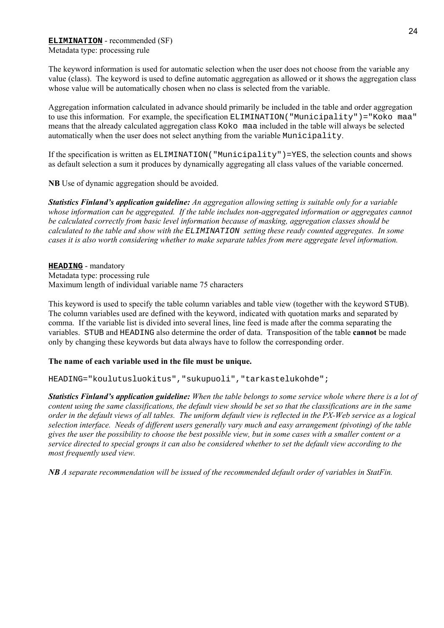#### **ELIMINATION** - recommended (SF) Metadata type: processing rule

The keyword information is used for automatic selection when the user does not choose from the variable any value (class). The keyword is used to define automatic aggregation as allowed or it shows the aggregation class whose value will be automatically chosen when no class is selected from the variable.

Aggregation information calculated in advance should primarily be included in the table and order aggregation to use this information. For example, the specification ELIMINATION("Municipality")="Koko maa" means that the already calculated aggregation class Koko maa included in the table will always be selected automatically when the user does not select anything from the variable Municipality.

If the specification is written as  $ELIMINATION('Municipality") = YES$ , the selection counts and shows as default selection a sum it produces by dynamically aggregating all class values of the variable concerned.

**NB** Use of dynamic aggregation should be avoided.

*Statistics Finlandís application guideline: An aggregation allowing setting is suitable only for a variable whose information can be aggregated. If the table includes non-aggregated information or aggregates cannot be calculated correctly from basic level information because of masking, aggregation classes should be calculated to the table and show with the* ELIMINATION *setting these ready counted aggregates. In some cases it is also worth considering whether to make separate tables from mere aggregate level information.*

**HEADING** - mandatory Metadata type: processing rule Maximum length of individual variable name 75 characters

This keyword is used to specify the table column variables and table view (together with the keyword STUB). The column variables used are defined with the keyword, indicated with quotation marks and separated by comma. If the variable list is divided into several lines, line feed is made after the comma separating the variables. STUB and HEADING also determine the order of data. Transposition of the table **cannot** be made only by changing these keywords but data always have to follow the corresponding order.

#### **The name of each variable used in the file must be unique.**

HEADING="koulutusluokitus","sukupuoli","tarkastelukohde";

*Statistics Finlandís application guideline: When the table belongs to some service whole where there is a lot of content using the same classifications, the default view should be set so that the classifications are in the same order in the default views of all tables. The uniform default view is reflected in the PX-Web service as a logical selection interface. Needs of different users generally vary much and easy arrangement (pivoting) of the table gives the user the possibility to choose the best possible view, but in some cases with a smaller content or a service directed to special groups it can also be considered whether to set the default view according to the most frequently used view.*

*NB A separate recommendation will be issued of the recommended default order of variables in StatFin.*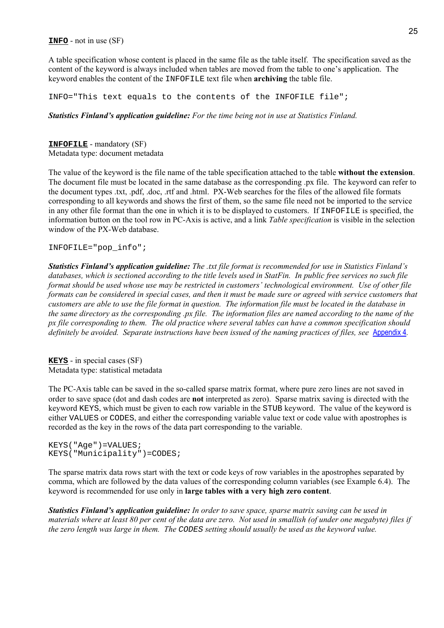**INFO** - not in use (SF)

A table specification whose content is placed in the same file as the table itself. The specification saved as the content of the keyword is always included when tables are moved from the table to one's application. The keyword enables the content of the INFOFILE text file when **archiving** the table file.

INFO="This text equals to the contents of the INFOFILE file";

#### *Statistics Finlandís application guideline: For the time being not in use at Statistics Finland.*

**INFOFILE** - mandatory (SF) Metadata type: document metadata

The value of the keyword is the file name of the table specification attached to the table **without the extension**. The document file must be located in the same database as the corresponding .px file. The keyword can refer to the document types .txt, .pdf, .doc, .rtf and .html. PX-Web searches for the files of the allowed file formats corresponding to all keywords and shows the first of them, so the same file need not be imported to the service in any other file format than the one in which it is to be displayed to customers. If INFOFILE is specified, the information button on the tool row in PC-Axis is active, and a link *Table specification* is visible in the selection window of the PX-Web database.

INFOFILE="pop\_info";

*Statistics Finlandís application guideline: The .txt file format is recommended for use in Statistics Finlandís databases, which is sectioned according to the title levels used in StatFin. In public free services no such file format should be used whose use may be restricted in customers' technological environment. Use of other file formats can be considered in special cases, and then it must be made sure or agreed with service customers that customers are able to use the file format in question. The information file must be located in the database in the same directory as the corresponding .px file. The information files are named according to the name of the px file corresponding to them. The old practice where several tables can have a common specification should definitely be avoided. Separate instructions have been issued of the naming practices of files, see* Appendix 4*.*

**KEYS** - in special cases (SF) Metadata type: statistical metadata

The PC-Axis table can be saved in the so-called sparse matrix format, where pure zero lines are not saved in order to save space (dot and dash codes are **not** interpreted as zero). Sparse matrix saving is directed with the keyword KEYS, which must be given to each row variable in the STUB keyword. The value of the keyword is either VALUES or CODES, and either the corresponding variable value text or code value with apostrophes is recorded as the key in the rows of the data part corresponding to the variable.

KEYS("Age")=VALUES; KEYS("Municipality")=CODES;

The sparse matrix data rows start with the text or code keys of row variables in the apostrophes separated by comma, which are followed by the data values of the corresponding column variables (see Example 6.4). The keyword is recommended for use only in **large tables with a very high zero content**.

*Statistics Finlandís application guideline: In order to save space, sparse matrix saving can be used in materials where at least 80 per cent of the data are zero. Not used in smallish (of under one megabyte) files if the zero length was large in them. The* CODES *setting should usually be used as the keyword value.*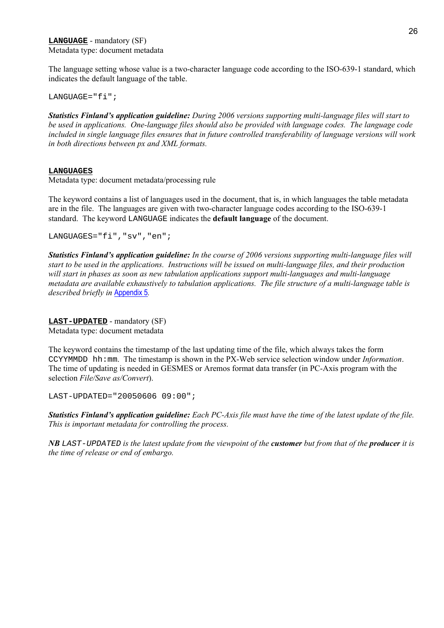The language setting whose value is a two-character language code according to the ISO-639-1 standard, which indicates the default language of the table.

LANGUAGE="fi";

*Statistics Finlandís application guideline: During 2006 versions supporting multi-language files will start to be used in applications. One-language files should also be provided with language codes. The language code included in single language files ensures that in future controlled transferability of language versions will work in both directions between px and XML formats.*

#### **LANGUAGES**

Metadata type: document metadata/processing rule

The keyword contains a list of languages used in the document, that is, in which languages the table metadata are in the file. The languages are given with two-character language codes according to the ISO-639-1 standard. The keyword LANGUAGE indicates the **default language** of the document.

LANGUAGES="fi", "sv", "en";

*Statistics Finlandís application guideline: In the course of 2006 versions supporting multi-language files will start to be used in the applications. Instructions will be issued on multi-language files, and their production will start in phases as soon as new tabulation applications support multi-languages and multi-language metadata are available exhaustively to tabulation applications. The file structure of a multi-language table is described briefly in* Appendix 5*.*

**LAST-UPDATED** - mandatory (SF)

Metadata type: document metadata

The keyword contains the timestamp of the last updating time of the file, which always takes the form CCYYMMDD hh:mm. The timestamp is shown in the PX-Web service selection window under *Information*. The time of updating is needed in GESMES or Aremos format data transfer (in PC-Axis program with the selection *File/Save as/Convert*).

LAST-UPDATED="20050606 09:00";

*Statistics Finlandís application guideline: Each PC-Axis file must have the time of the latest update of the file. This is important metadata for controlling the process.*

*NB* LAST-UPDATED *is the latest update from the viewpoint of the customer but from that of the producer it is the time of release or end of embargo.*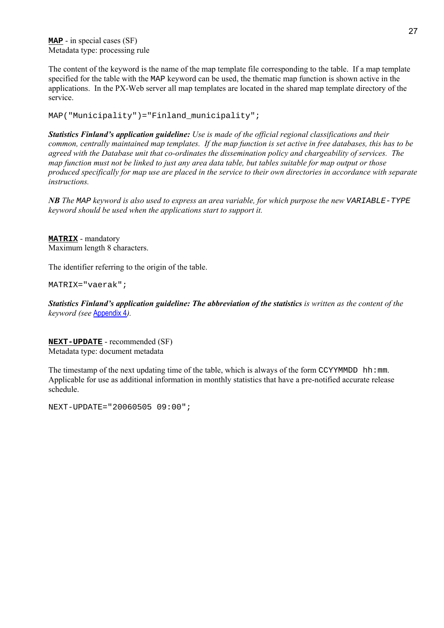**MAP** - in special cases (SF) Metadata type: processing rule

The content of the keyword is the name of the map template file corresponding to the table. If a map template specified for the table with the MAP keyword can be used, the thematic map function is shown active in the applications. In the PX-Web server all map templates are located in the shared map template directory of the service.

MAP("Municipality")="Finland\_municipality";

*Statistics Finlandís application guideline: Use is made of the official regional classifications and their common, centrally maintained map templates. If the map function is set active in free databases, this has to be agreed with the Database unit that co-ordinates the dissemination policy and chargeability of services. The map function must not be linked to just any area data table, but tables suitable for map output or those produced specifically for map use are placed in the service to their own directories in accordance with separate instructions.*

*NB The* MAP *keyword is also used to express an area variable, for which purpose the new* VARIABLE-TYPE *keyword should be used when the applications start to support it.*

**MATRIX** - mandatory Maximum length 8 characters.

The identifier referring to the origin of the table.

MATRIX="vaerak";

*Statistics Finlandís application guideline: The abbreviation of the statistics is written as the content of the keyword (see* Appendix 4*).*

**NEXT-UPDATE** - recommended (SF) Metadata type: document metadata

The timestamp of the next updating time of the table, which is always of the form  $CCYYMMDD$  hh:mm. Applicable for use as additional information in monthly statistics that have a pre-notified accurate release schedule.

NEXT-UPDATE="20060505 09:00";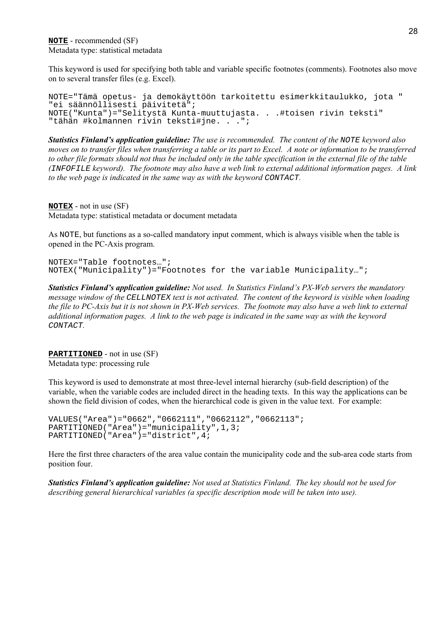This keyword is used for specifying both table and variable specific footnotes (comments). Footnotes also move on to several transfer files (e.g. Excel).

```
NOTE="Tämä opetus- ja demokäyttöön tarkoitettu esimerkkitaulukko, jota "
"ei säännöllisesti päivitetä";
NOTE("Kunta")="Selitystä Kunta-muuttujasta. . .#toisen rivin teksti"
"tähän #kolmannen rivin teksti#jne. . .";
```
*Statistics Finlandís application guideline: The use is recommended. The content of the* NOTE *keyword also moves on to transfer files when transferring a table or its part to Excel. A note or information to be transferred to other file formats should not thus be included only in the table specification in the external file of the table (*INFOFILE *keyword). The footnote may also have a web link to external additional information pages. A link to the web page is indicated in the same way as with the keyword CONTACT.* 

**NOTEX** - not in use (SF) Metadata type: statistical metadata or document metadata

As NOTE, but functions as a so-called mandatory input comment, which is always visible when the table is opened in the PC-Axis program.

NOTEX="Table footnotes…"; NOTEX("Municipality")="Footnotes for the variable Municipality…";

*Statistics Finland's application guideline:* Not used. In Statistics Finland's PX-Web servers the mandatory *message window of the* CELLNOTEX *text is not activated. The content of the keyword is visible when loading the file to PC-Axis but it is not shown in PX-Web services. The footnote may also have a web link to external additional information pages. A link to the web page is indicated in the same way as with the keyword* CONTACT*.*

**PARTITIONED** - not in use (SF) Metadata type: processing rule

This keyword is used to demonstrate at most three-level internal hierarchy (sub-field description) of the variable, when the variable codes are included direct in the heading texts. In this way the applications can be shown the field division of codes, when the hierarchical code is given in the value text. For example:

```
VALUES("Area")="0662","0662111","0662112","0662113";
PARTITIONED("Area")="municipality",1,3;
PARTITIONED("Area")="district",4;
```
Here the first three characters of the area value contain the municipality code and the sub-area code starts from position four.

*Statistics Finlandís application guideline: Not used at Statistics Finland. The key should not be used for describing general hierarchical variables (a specific description mode will be taken into use).*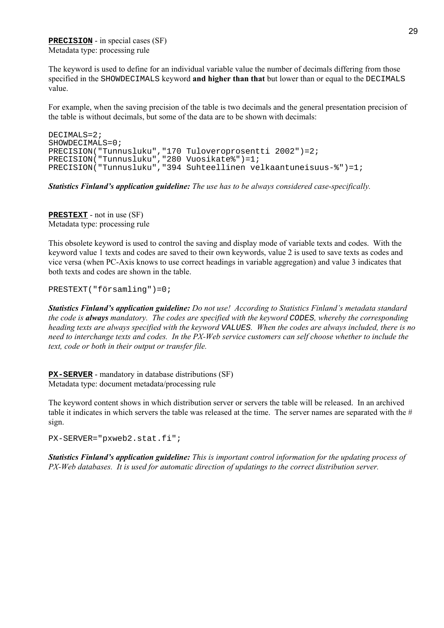**PRECISION** - in special cases (SF) Metadata type: processing rule

The keyword is used to define for an individual variable value the number of decimals differing from those specified in the SHOWDECIMALS keyword **and higher than that** but lower than or equal to the DECIMALS value.

For example, when the saving precision of the table is two decimals and the general presentation precision of the table is without decimals, but some of the data are to be shown with decimals:

```
DECIMALS=2;
SHOWDECIMALS=0;
PRECISION("Tunnusluku","170 Tuloveroprosentti 2002")=2;
PRECISION("Tunnusluku","280 Vuosikate%")=1;
PRECISION("Tunnusluku","394 Suhteellinen velkaantuneisuus-%")=1;
```
*Statistics Finlandís application guideline: The use has to be always considered case-specifically.*

**PRESTEXT** - not in use (SF) Metadata type: processing rule

This obsolete keyword is used to control the saving and display mode of variable texts and codes. With the keyword value 1 texts and codes are saved to their own keywords, value 2 is used to save texts as codes and vice versa (when PC-Axis knows to use correct headings in variable aggregation) and value 3 indicates that both texts and codes are shown in the table.

PRESTEXT("församling")=0;

*Statistics Finlandís application guideline: Do not use! According to Statistics Finlandís metadata standard the code is always mandatory. The codes are specified with the keyword* CODES*, whereby the corresponding heading texts are always specified with the keyword* VALUES*. When the codes are always included, there is no need to interchange texts and codes. In the PX-Web service customers can self choose whether to include the text, code or both in their output or transfer file.*

**PX-SERVER** - mandatory in database distributions (SF) Metadata type: document metadata/processing rule

The keyword content shows in which distribution server or servers the table will be released. In an archived table it indicates in which servers the table was released at the time. The server names are separated with the  $#$ sign.

PX-SERVER="pxweb2.stat.fi";

*Statistics Finlandís application guideline: This is important control information for the updating process of PX-Web databases. It is used for automatic direction of updatings to the correct distribution server.*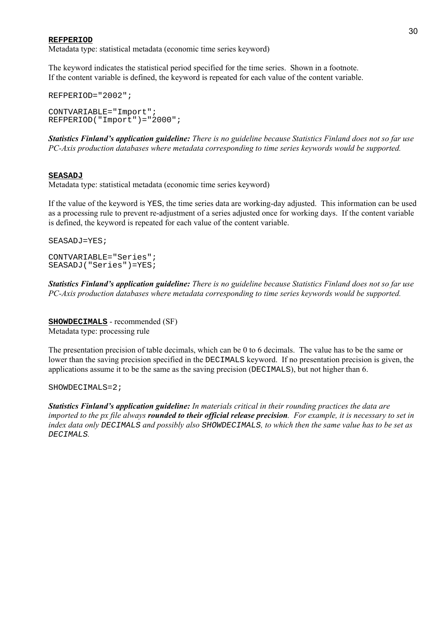#### **REFPERIOD**

Metadata type: statistical metadata (economic time series keyword)

The keyword indicates the statistical period specified for the time series. Shown in a footnote. If the content variable is defined, the keyword is repeated for each value of the content variable.

```
REFPERIOD="2002";
CONTVARIABLE="Import";
REFPERIOD("Import")="2000";
```
*Statistics Finlandís application guideline: There is no guideline because Statistics Finland does not so far use PC-Axis production databases where metadata corresponding to time series keywords would be supported.*

#### **SEASADJ**

Metadata type: statistical metadata (economic time series keyword)

If the value of the keyword is YES, the time series data are working-day adjusted. This information can be used as a processing rule to prevent re-adjustment of a series adjusted once for working days. If the content variable is defined, the keyword is repeated for each value of the content variable.

SEASADJ=YES;

CONTVARIABLE="Series"; SEASADJ("Series")=YES;

*Statistics Finlandís application guideline: There is no guideline because Statistics Finland does not so far use PC-Axis production databases where metadata corresponding to time series keywords would be supported.*

**SHOWDECIMALS** - recommended (SF) Metadata type: processing rule

The presentation precision of table decimals, which can be 0 to 6 decimals. The value has to be the same or lower than the saving precision specified in the DECIMALS keyword. If no presentation precision is given, the applications assume it to be the same as the saving precision (DECIMALS), but not higher than 6.

#### SHOWDECIMALS=2;

*Statistics Finlandís application guideline: In materials critical in their rounding practices the data are imported to the px file always rounded to their official release precision. For example, it is necessary to set in index data only* DECIMALS *and possibly also* SHOWDECIMALS*, to which then the same value has to be set as* DECIMALS*.*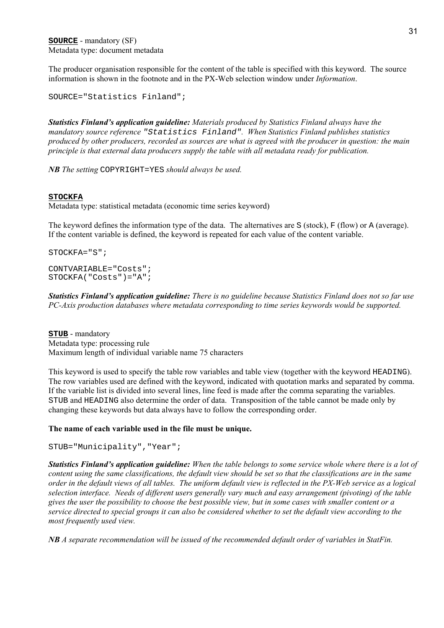The producer organisation responsible for the content of the table is specified with this keyword. The source information is shown in the footnote and in the PX-Web selection window under *Information*.

SOURCE="Statistics Finland";

*Statistics Finlandís application guideline: Materials produced by Statistics Finland always have the mandatory source reference* "Statistics Finland"*. When Statistics Finland publishes statistics produced by other producers, recorded as sources are what is agreed with the producer in question: the main principle is that external data producers supply the table with all metadata ready for publication.*

*NB The setting* COPYRIGHT=YES *should always be used.*

#### **STOCKFA**

Metadata type: statistical metadata (economic time series keyword)

The keyword defines the information type of the data. The alternatives are S (stock),  $F(f|ow)$  or A (average). If the content variable is defined, the keyword is repeated for each value of the content variable.

STOCKFA="S";

CONTVARIABLE="Costs"; STOCKFA("Costs")="A";

*Statistics Finlandís application guideline: There is no guideline because Statistics Finland does not so far use PC-Axis production databases where metadata corresponding to time series keywords would be supported.*

**STUB** - mandatory Metadata type: processing rule Maximum length of individual variable name 75 characters

This keyword is used to specify the table row variables and table view (together with the keyword HEADING). The row variables used are defined with the keyword, indicated with quotation marks and separated by comma. If the variable list is divided into several lines, line feed is made after the comma separating the variables. STUB and HEADING also determine the order of data. Transposition of the table cannot be made only by changing these keywords but data always have to follow the corresponding order.

#### **The name of each variable used in the file must be unique.**

```
STUB="Municipality","Year";
```
*Statistics Finlandís application guideline: When the table belongs to some service whole where there is a lot of content using the same classifications, the default view should be set so that the classifications are in the same order in the default views of all tables. The uniform default view is reflected in the PX-Web service as a logical selection interface. Needs of different users generally vary much and easy arrangement (pivoting) of the table gives the user the possibility to choose the best possible view, but in some cases with smaller content or a service directed to special groups it can also be considered whether to set the default view according to the most frequently used view.*

*NB A separate recommendation will be issued of the recommended default order of variables in StatFin.*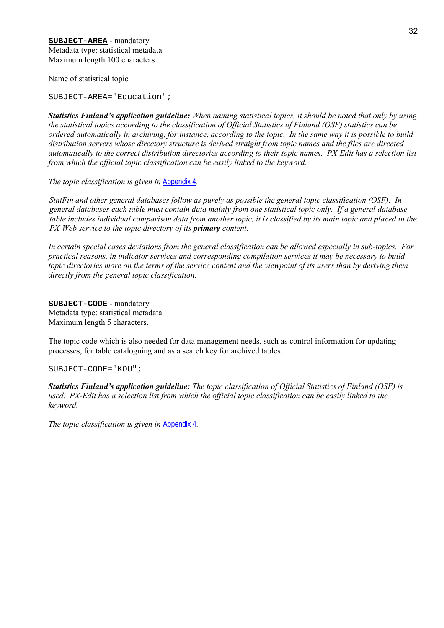Name of statistical topic

SUBJECT-AREA="Education";

*Statistics Finlandís application guideline: When naming statistical topics, it should be noted that only by using the statistical topics according to the classification of Official Statistics of Finland (OSF) statistics can be ordered automatically in archiving, for instance, according to the topic. In the same way it is possible to build distribution servers whose directory structure is derived straight from topic names and the files are directed automatically to the correct distribution directories according to their topic names. PX-Edit has a selection list from which the official topic classification can be easily linked to the keyword.*

*The topic classification is given in* Appendix 4*.*

*StatFin and other general databases follow as purely as possible the general topic classification (OSF). In general databases each table must contain data mainly from one statistical topic only. If a general database table includes individual comparison data from another topic, it is classified by its main topic and placed in the PX-Web service to the topic directory of its primary content.*

*In certain special cases deviations from the general classification can be allowed especially in sub-topics. For practical reasons, in indicator services and corresponding compilation services it may be necessary to build topic directories more on the terms of the service content and the viewpoint of its users than by deriving them directly from the general topic classification.*

**SUBJECT-CODE** - mandatory Metadata type: statistical metadata Maximum length 5 characters.

The topic code which is also needed for data management needs, such as control information for updating processes, for table cataloguing and as a search key for archived tables.

SUBJECT-CODE="KOU";

*Statistics Finlandís application guideline: The topic classification of Official Statistics of Finland (OSF) is used. PX-Edit has a selection list from which the official topic classification can be easily linked to the keyword.*

*The topic classification is given in* Appendix 4*.*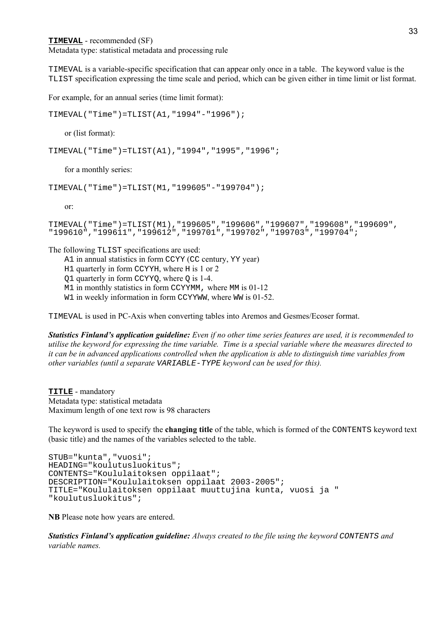**TIMEVAL** - recommended (SF)

Metadata type: statistical metadata and processing rule

TIMEVAL is a variable-specific specification that can appear only once in a table. The keyword value is the TLIST specification expressing the time scale and period, which can be given either in time limit or list format.

For example, for an annual series (time limit format):

TIMEVAL("Time")=TLIST(A1,"1994"-"1996");

or (list format):

TIMEVAL("Time")=TLIST(A1),"1994","1995","1996";

for a monthly series:

```
TIMEVAL("Time")=TLIST(M1,"199605"-"199704");
```
or:

```
TIMEVAL("Time")=TLIST(M1),"199605","199606","199607","199608","199609",
"199610","199611","199612","199701","199702","199703","199704";
```
The following TLIST specifications are used:

- A1 in annual statistics in form CCYY (CC century, YY year)
- H1 quarterly in form CCYYH, where H is 1 or 2
- Q1 quarterly in form CCYYQ, where Q is 1-4.

M<sub>1</sub> in monthly statistics in form CCYYMM, where MM is 01-12

W<sub>1</sub> in weekly information in form CCYYWW, where WW is 01-52.

TIMEVAL is used in PC-Axis when converting tables into Aremos and Gesmes/Ecoser format.

*Statistics Finlandís application guideline: Even if no other time series features are used, it is recommended to utilise the keyword for expressing the time variable. Time is a special variable where the measures directed to it can be in advanced applications controlled when the application is able to distinguish time variables from other variables (until a separate* VARIABLE-TYPE *keyword can be used for this).*

**TITLE** - mandatory Metadata type: statistical metadata Maximum length of one text row is 98 characters

The keyword is used to specify the **changing title** of the table, which is formed of the CONTENTS keyword text (basic title) and the names of the variables selected to the table.

```
STUB="kunta","vuosi";
HEADING="koulutusluokitus";
CONTENTS="Koululaitoksen oppilaat";
DESCRIPTION="Koululaitoksen oppilaat 2003-2005";
TITLE="Koululaitoksen oppilaat muuttujina kunta, vuosi ja "
"koulutusluokitus";
```
**NB** Please note how years are entered.

*Statistics Finlandís application guideline: Always created to the file using the keyword* CONTENTS *and variable names.*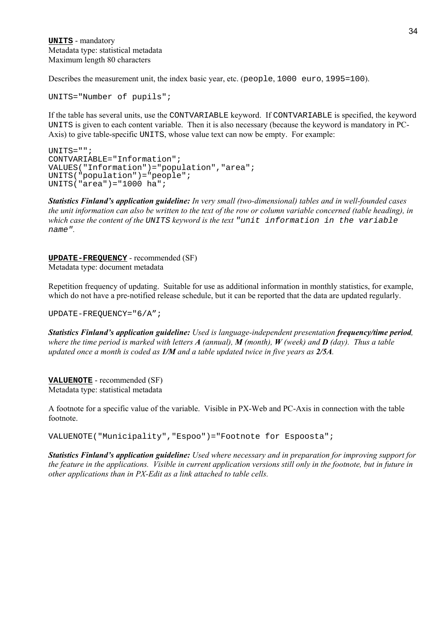**UNITS** - mandatory Metadata type: statistical metadata Maximum length 80 characters

Describes the measurement unit, the index basic year, etc. (people, 1000 euro, 1995=100).

UNITS="Number of pupils";

If the table has several units, use the CONTVARIABLE keyword. If CONTVARIABLE is specified, the keyword UNITS is given to each content variable. Then it is also necessary (because the keyword is mandatory in PC-Axis) to give table-specific UNITS, whose value text can now be empty. For example:

```
UNITS="";
CONTVARIABLE="Information";
VALUES("Information")="population","area";
UNITS("population")="people";
UNITS("area")="1000 ha";
```
*Statistics Finlandís application guideline: In very small (two-dimensional) tables and in well-founded cases the unit information can also be written to the text of the row or column variable concerned (table heading), in which case the content of the* UNITS *keyword is the text* "unit information in the variable name"*.*

**UPDATE-FREQUENCY** - recommended (SF) Metadata type: document metadata

Repetition frequency of updating. Suitable for use as additional information in monthly statistics, for example, which do not have a pre-notified release schedule, but it can be reported that the data are updated regularly.

UPDATE-FREQUENCY="6/A";

*Statistics Finlandís application guideline: Used is language-independent presentation frequency/time period, where the time period is marked with letters A (annual), M (month), W (week) and D (day). Thus a table updated once a month is coded as 1/M and a table updated twice in five years as 2/5A.*

**VALUENOTE** - recommended (SF) Metadata type: statistical metadata

A footnote for a specific value of the variable. Visible in PX-Web and PC-Axis in connection with the table footnote.

VALUENOTE("Municipality","Espoo")="Footnote for Espoosta";

*Statistics Finlandís application guideline: Used where necessary and in preparation for improving support for the feature in the applications. Visible in current application versions still only in the footnote, but in future in other applications than in PX-Edit as a link attached to table cells.*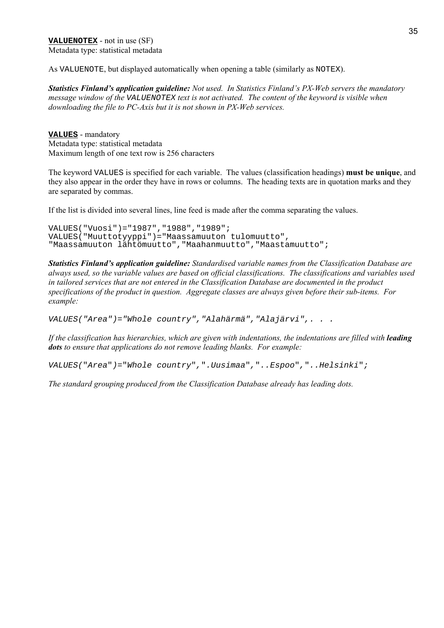**VALUENOTEX** - not in use (SF) Metadata type: statistical metadata

As VALUENOTE, but displayed automatically when opening a table (similarly as NOTEX).

*Statistics Finland's application guideline: Not used. In Statistics Finland's PX-Web servers the mandatory message window of the* VALUENOTEX *text is not activated. The content of the keyword is visible when downloading the file to PC-Axis but it is not shown in PX-Web services.*

**VALUES** - mandatory Metadata type: statistical metadata Maximum length of one text row is 256 characters

The keyword VALUES is specified for each variable. The values (classification headings) **must be unique**, and they also appear in the order they have in rows or columns. The heading texts are in quotation marks and they are separated by commas.

If the list is divided into several lines, line feed is made after the comma separating the values.

```
VALUES("Vuosi")="1987","1988","1989";
VALUES("Muuttotyyppi")="Maassamuuton tulomuutto",
"Maassamuuton lähtömuutto","Maahanmuutto","Maastamuutto";
```
*Statistics Finlandís application guideline: Standardised variable names from the Classification Database are always used, so the variable values are based on official classifications. The classifications and variables used in tailored services that are not entered in the Classification Database are documented in the product specifications of the product in question. Aggregate classes are always given before their sub-items. For example:*

VALUES("Area")="Whole country","Alahärmä","Alajärvi",. . .

*If the classification has hierarchies, which are given with indentations, the indentations are filled with leading dots to ensure that applications do not remove leading blanks. For example:*

VALUES("Area")="Whole country",".Uusimaa","..Espoo","..Helsinki";

*The standard grouping produced from the Classification Database already has leading dots.*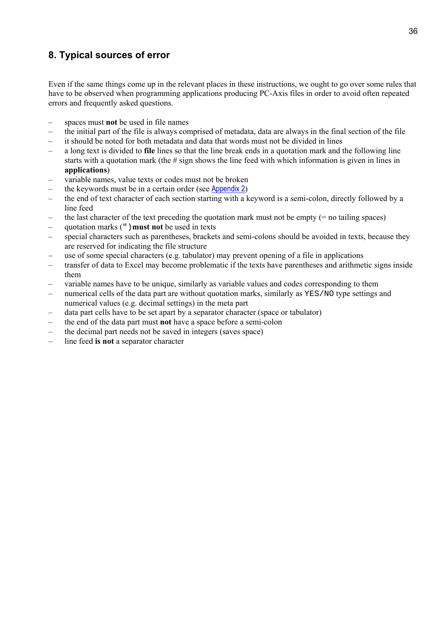# **8. Typical sources of error**

Even if the same things come up in the relevant places in these instructions, we ought to go over some rules that have to be observed when programming applications producing PC-Axis files in order to avoid often repeated errors and frequently asked questions.

- spaces must **not** be used in file names
- ñ the initial part of the file is always comprised of metadata, data are always in the final section of the file
- it should be noted for both metadata and data that words must not be divided in lines
- ñ a long text is divided to **file** lines so that the line break ends in a quotation mark and the following line starts with a quotation mark (the # sign shows the line feed with which information is given in lines in **applications**)
- variable names, value texts or codes must not be broken
- the keywords must be in a certain order (see Appendix 2)
- the end of text character of each section starting with a keyword is a semi-colon, directly followed by a line feed
- the last character of the text preceding the quotation mark must not be empty  $(=$  no tailing spaces)
- ñ quotation marks (")**must not** be used in texts
- special characters such as parentheses, brackets and semi-colons should be avoided in texts, because they are reserved for indicating the file structure
- use of some special characters (e.g. tabulator) may prevent opening of a file in applications
- transfer of data to Excel may become problematic if the texts have parentheses and arithmetic signs inside them
- ñ variable names have to be unique, similarly as variable values and codes corresponding to them
- numerical cells of the data part are without quotation marks, similarly as YES/NO type settings and numerical values (e.g. decimal settings) in the meta part
- data part cells have to be set apart by a separator character (space or tabulator)
- ñ the end of the data part must **not** have a space before a semi-colon
- the decimal part needs not be saved in integers (saves space)
- line feed **is not** a separator character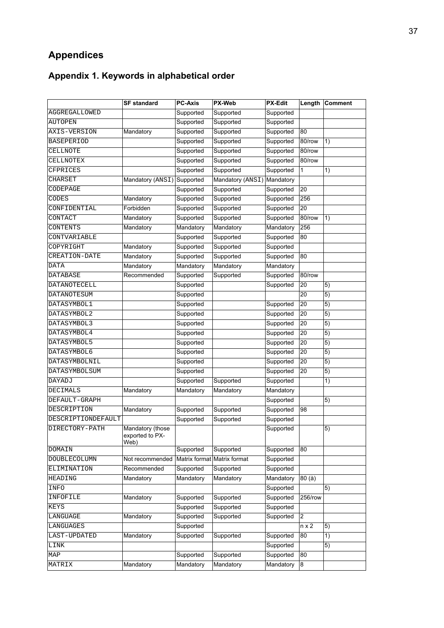# **Appendices**

# **Appendix 1. Keywords in alphabetical order**

|                    | <b>SF standard</b>                          | <b>PC-Axis</b> | <b>PX-Web</b>               | <b>PX-Edit</b> | Length                  | <b>Comment</b>  |
|--------------------|---------------------------------------------|----------------|-----------------------------|----------------|-------------------------|-----------------|
| AGGREGALLOWED      |                                             | Supported      | Supported                   | Supported      |                         |                 |
| <b>AUTOPEN</b>     |                                             | Supported      | Supported                   | Supported      |                         |                 |
| AXIS-VERSION       | Mandatory                                   | Supported      | Supported                   | Supported      | 80                      |                 |
| <b>BASEPERIOD</b>  |                                             | Supported      | Supported                   | Supported      | 80/row                  | 1)              |
| CELLNOTE           |                                             | Supported      | Supported                   | Supported      | 80/row                  |                 |
| CELLNOTEX          |                                             | Supported      | Supported                   | Supported      | 80/row                  |                 |
| CFPRICES           |                                             | Supported      | Supported                   | Supported      | 1                       | $\overline{1}$  |
| <b>CHARSET</b>     | Mandatory (ANSI)                            | Supported      | Mandatory (ANSI) Mandatory  |                |                         |                 |
| CODEPAGE           |                                             | Supported      | Supported                   | Supported      | 20                      |                 |
| CODES              | Mandatory                                   | Supported      | Supported                   | Supported      | 256                     |                 |
| CONFIDENTIAL       | Forbidden                                   | Supported      | Supported                   | Supported      | 20                      |                 |
| CONTACT            | Mandatory                                   | Supported      | Supported                   | Supported      | 80/row                  | 1)              |
| CONTENTS           | Mandatory                                   | Mandatory      | Mandatory                   | Mandatory      | 256                     |                 |
| CONTVARIABLE       |                                             | Supported      | Supported                   | Supported      | 80                      |                 |
| COPYRIGHT          | Mandatory                                   | Supported      | Supported                   | Supported      |                         |                 |
| CREATION-DATE      | Mandatory                                   | Supported      | Supported                   | Supported      | 80                      |                 |
| <b>DATA</b>        | Mandatory                                   | Mandatory      | Mandatory                   | Mandatory      |                         |                 |
| DATABASE           | Recommended                                 | Supported      | Supported                   | Supported      | 80/row                  |                 |
| DATANOTECELL       |                                             | Supported      |                             | Supported      | 20                      | 5)              |
| DATANOTESUM        |                                             | Supported      |                             |                | 20                      | 5)              |
| DATASYMBOL1        |                                             | Supported      |                             | Supported      | 20                      | 5)              |
| DATASYMBOL2        |                                             | Supported      |                             | Supported      | 20                      | 5)              |
| DATASYMBOL3        |                                             | Supported      |                             | Supported      | 20                      | $\overline{5})$ |
| DATASYMBOL4        |                                             | Supported      |                             | Supported      | 20                      | $\overline{5)}$ |
| DATASYMBOL5        |                                             | Supported      |                             | Supported      | 20                      | $\overline{5)}$ |
| DATASYMBOL6        |                                             | Supported      |                             | Supported      | 20                      | 5)              |
| DATASYMBOLNIL      |                                             | Supported      |                             | Supported      | 20                      | 5)              |
| DATASYMBOLSUM      |                                             | Supported      |                             | Supported      | 20                      | 5)              |
| DAYADJ             |                                             | Supported      | Supported                   | Supported      |                         | 1)              |
| <b>DECIMALS</b>    | Mandatory                                   | Mandatory      | Mandatory                   | Mandatory      |                         |                 |
| DEFAULT-GRAPH      |                                             |                |                             | Supported      |                         | $\overline{5)}$ |
| DESCRIPTION        | Mandatory                                   | Supported      | Supported                   | Supported      | 98                      |                 |
| DESCRIPTIONDEFAULT |                                             | Supported      | Supported                   | Supported      |                         |                 |
| DIRECTORY-PATH     | Mandatory (those<br>exported to PX-<br>Web) |                |                             | Supported      |                         | 5)              |
| <b>DOMAIN</b>      |                                             | Supported      | Supported                   | Supported      | 80                      |                 |
| DOUBLECOLUMN       | Not recommended                             |                | Matrix format Matrix format | Supported      |                         |                 |
| ELIMINATION        | Recommended                                 | Supported      | Supported                   | Supported      |                         |                 |
| <b>HEADING</b>     | Mandatory                                   | Mandatory      | Mandatory                   | Mandatory      | 80 (à)                  |                 |
| INFO               |                                             |                |                             | Supported      |                         | 5)              |
| INFOFILE           | Mandatory                                   | Supported      | Supported                   | Supported      | 256/row                 |                 |
| <b>KEYS</b>        |                                             | Supported      | Supported                   | Supported      |                         |                 |
| LANGUAGE           | Mandatory                                   | Supported      | Supported                   | Supported      | $\overline{\mathbf{c}}$ |                 |
| LANGUAGES          |                                             | Supported      |                             |                | $n \times 2$            | 5)              |
| LAST-UPDATED       | Mandatory                                   | Supported      | Supported                   | Supported      | 80                      | 1)              |
| LINK               |                                             |                |                             | Supported      |                         | $\overline{5)}$ |
| MAP                |                                             | Supported      | Supported                   | Supported      | 80                      |                 |
| MATRIX             | Mandatory                                   | Mandatory      | Mandatory                   | Mandatory      | 8                       |                 |
|                    |                                             |                |                             |                |                         |                 |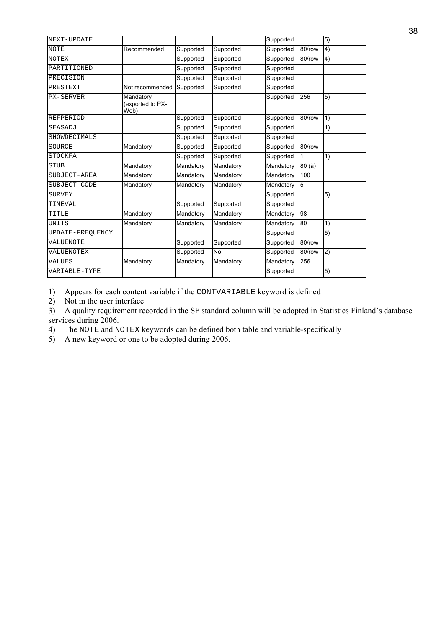| NEXT-UPDATE      |                                       |           |           | Supported |        | 5)              |
|------------------|---------------------------------------|-----------|-----------|-----------|--------|-----------------|
| <b>NOTE</b>      | Recommended                           | Supported | Supported | Supported | 80/row | 4)              |
| <b>NOTEX</b>     |                                       | Supported | Supported | Supported | 80/row | 4)              |
| PARTITIONED      |                                       | Supported | Supported | Supported |        |                 |
| PRECISION        |                                       | Supported | Supported | Supported |        |                 |
| PRESTEXT         | Not recommended                       | Supported | Supported | Supported |        |                 |
| <b>PX-SERVER</b> | Mandatory<br>(exported to PX-<br>Web) |           |           | Supported | 256    | 5)              |
| <b>REFPERIOD</b> |                                       | Supported | Supported | Supported | 80/row | 1)              |
| <b>SEASADJ</b>   |                                       | Supported | Supported | Supported |        | 1)              |
| SHOWDECIMALS     |                                       | Supported | Supported | Supported |        |                 |
| SOURCE           | Mandatory                             | Supported | Supported | Supported | 80/row |                 |
| <b>STOCKFA</b>   |                                       | Supported | Supported | Supported | 1      | $\overline{1}$  |
| <b>STUB</b>      | Mandatory                             | Mandatory | Mandatory | Mandatory | 80(à)  |                 |
| SUBJECT-AREA     | Mandatory                             | Mandatory | Mandatory | Mandatory | 100    |                 |
| SUBJECT-CODE     | Mandatory                             | Mandatory | Mandatory | Mandatory | 5      |                 |
| <b>SURVEY</b>    |                                       |           |           | Supported |        | $\overline{5)}$ |
| TIMEVAL          |                                       | Supported | Supported | Supported |        |                 |
| TITLE            | Mandatory                             | Mandatory | Mandatory | Mandatory | 98     |                 |
| <b>UNITS</b>     | Mandatory                             | Mandatory | Mandatory | Mandatory | 80     | 1)              |
| UPDATE-FREQUENCY |                                       |           |           | Supported |        | 5)              |
| VALUENOTE        |                                       | Supported | Supported | Supported | 80/row |                 |
| VALUENOTEX       |                                       | Supported | <b>No</b> | Supported | 80/row | 2)              |
| <b>VALUES</b>    | Mandatory                             | Mandatory | Mandatory | Mandatory | 256    |                 |
| VARIABLE-TYPE    |                                       |           |           | Supported |        | 5)              |
|                  |                                       |           |           |           |        |                 |

1) Appears for each content variable if the CONTVARIABLE keyword is defined

2) Not in the user interface

3) A quality requirement recorded in the SF standard column will be adopted in Statistics Finland's database services during 2006.

4) The NOTE and NOTEX keywords can be defined both table and variable-specifically

5) A new keyword or one to be adopted during 2006.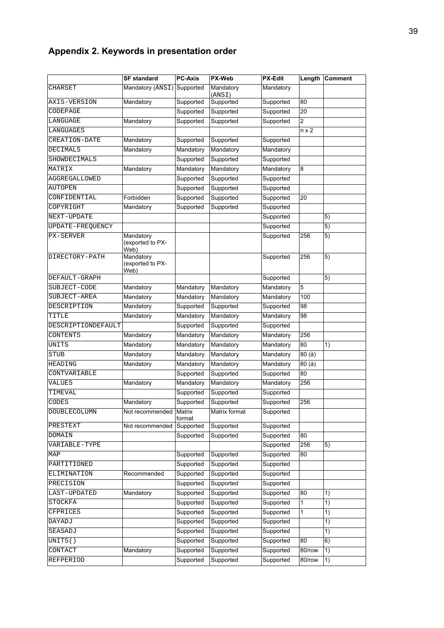# **Appendix 2. Keywords in presentation order**

|                    | <b>SF standard</b>                    | <b>PC-Axis</b>   | <b>PX-Web</b>       | <b>PX-Edit</b> |        | Length Comment |
|--------------------|---------------------------------------|------------------|---------------------|----------------|--------|----------------|
| CHARSET            | Mandatory (ANSI)                      | Supported        | Mandatory<br>(ANSI) | Mandatory      |        |                |
| AXIS-VERSION       | Mandatory                             | Supported        | Supported           | Supported      | 80     |                |
| CODEPAGE           |                                       | Supported        | Supported           | Supported      | 20     |                |
| LANGUAGE           | Mandatory                             | Supported        | Supported           | Supported      | 2      |                |
| LANGUAGES          |                                       |                  |                     |                | n x 2  |                |
| CREATION-DATE      | Mandatory                             | Supported        | Supported           | Supported      |        |                |
| DECIMALS           | Mandatory                             | Mandatory        | Mandatory           | Mandatory      |        |                |
| SHOWDECIMALS       |                                       | Supported        | Supported           | Supported      |        |                |
| MATRIX             | Mandatory                             | Mandatory        | Mandatory           | Mandatory      | 8      |                |
| AGGREGALLOWED      |                                       | Supported        | Supported           | Supported      |        |                |
| AUTOPEN            |                                       | Supported        | Supported           | Supported      |        |                |
| CONFIDENTIAL       | Forbidden                             | Supported        | Supported           | Supported      | 20     |                |
| COPYRIGHT          | Mandatory                             | Supported        | Supported           | Supported      |        |                |
| NEXT-UPDATE        |                                       |                  |                     | Supported      |        | 5)             |
| UPDATE-FREQUENCY   |                                       |                  |                     | Supported      |        | 5)             |
| <b>PX-SERVER</b>   | Mandatory<br>(exported to PX-<br>Web) |                  |                     | Supported      | 256    | 5)             |
| DIRECTORY-PATH     | Mandatory<br>(exported to PX-<br>Web) |                  |                     | Supported      | 256    | 5)             |
| DEFAULT-GRAPH      |                                       |                  |                     | Supported      |        | 5)             |
| SUBJECT-CODE       | Mandatory                             | Mandatory        | Mandatory           | Mandatory      | 5      |                |
| SUBJECT-AREA       | Mandatory                             | Mandatory        | Mandatory           | Mandatory      | 100    |                |
| DESCRIPTION        | Mandatory                             | Supported        | Supported           | Supported      | 98     |                |
| TITLE              | Mandatory                             | Mandatory        | Mandatory           | Mandatory      | 98     |                |
| DESCRIPTIONDEFAULT |                                       | Supported        | Supported           | Supported      |        |                |
| CONTENTS           | Mandatory                             | Mandatory        | Mandatory           | Mandatory      | 256    |                |
| UNITS              | Mandatory                             | Mandatory        | Mandatory           | Mandatory      | 80     | 1)             |
| STUB               | Mandatory                             | Mandatory        | Mandatory           | Mandatory      | 80 (à) |                |
| <b>HEADING</b>     | Mandatory                             | Mandatory        | Mandatory           | Mandatory      | 80(a)  |                |
| CONTVARIABLE       |                                       | Supported        | Supported           | Supported      | 80     |                |
| VALUES             | Mandatory                             | Mandatory        | Mandatory           | Mandatory      | 256    |                |
| TIMEVAL            |                                       | Supported        | Supported           | Supported      |        |                |
| CODES              | Mandatory                             | Supported        | Supported           | Supported      | 256    |                |
| DOUBLECOLUMN       | Not recommended                       | Matrix<br>format | Matrix format       | Supported      |        |                |
| PRESTEXT           | Not recommended                       | Supported        | Supported           | Supported      |        |                |
| DOMAIN             |                                       | Supported        | Supported           | Supported      | 80     |                |
| VARIABLE-TYPE      |                                       |                  |                     | Supported      | 256    | 5)             |
| MAP                |                                       | Supported        | Supported           | Supported      | 80     |                |
| PARTITIONED        |                                       | Supported        | Supported           | Supported      |        |                |
| ELIMINATION        | Recommended                           | Supported        | Supported           | Supported      |        |                |
| PRECISION          |                                       | Supported        | Supported           | Supported      |        |                |
| LAST-UPDATED       | Mandatory                             | Supported        | Supported           | Supported      | 80     | 1)             |
| STOCKFA            |                                       | Supported        | Supported           | Supported      | 1      | 1)             |
| CFPRICES           |                                       | Supported        | Supported           | Supported      | 1      | 1)             |
| DAYADJ             |                                       | Supported        | Supported           | Supported      |        | 1)             |
| SEASADJ            |                                       | Supported        | Supported           | Supported      |        | 1)             |
| UNITS()            |                                       | Supported        | Supported           | Supported      | 80     | 6)             |
| CONTACT            | Mandatory                             | Supported        | Supported           | Supported      | 80/row | 1)             |
| REFPERIOD          |                                       | Supported        | Supported           | Supported      | 80/row | 1)             |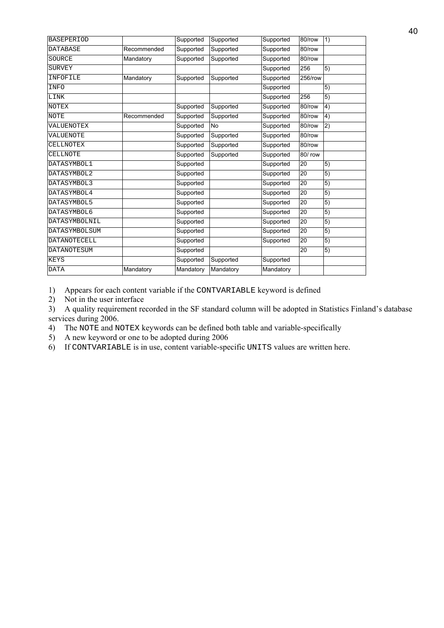| <b>BASEPERIOD</b>   |             | Supported | Supported      | Supported | 80/row  | 1)              |
|---------------------|-------------|-----------|----------------|-----------|---------|-----------------|
| <b>DATABASE</b>     | Recommended | Supported | Supported      | Supported | 80/row  |                 |
| SOURCE              | Mandatory   | Supported | Supported      | Supported | 80/row  |                 |
| <b>SURVEY</b>       |             |           |                | Supported | 256     | 5)              |
| INFOFILE            | Mandatory   | Supported | Supported      | Supported | 256/row |                 |
| INFO                |             |           |                | Supported |         | 5)              |
| LINK                |             |           |                | Supported | 256     | $\overline{5)}$ |
| <b>NOTEX</b>        |             | Supported | Supported      | Supported | 80/row  | 4)              |
| <b>NOTE</b>         | Recommended | Supported | Supported      | Supported | 80/row  | 4)              |
| VALUENOTEX          |             | Supported | N <sub>o</sub> | Supported | 80/row  | $\overline{2)}$ |
| VALUENOTE           |             | Supported | Supported      | Supported | 80/row  |                 |
| CELLNOTEX           |             | Supported | Supported      | Supported | 80/row  |                 |
| <b>CELLNOTE</b>     |             | Supported | Supported      | Supported | 80/ row |                 |
| DATASYMBOL1         |             | Supported |                | Supported | 20      | 5)              |
| DATASYMBOL2         |             | Supported |                | Supported | 20      | 5)              |
| DATASYMBOL3         |             | Supported |                | Supported | 20      | 5)              |
| DATASYMBOL4         |             | Supported |                | Supported | 20      | $\overline{5)}$ |
| DATASYMBOL5         |             | Supported |                | Supported | 20      | 5)              |
| DATASYMBOL6         |             | Supported |                | Supported | 20      | 5)              |
| DATASYMBOLNIL       |             | Supported |                | Supported | 20      | $\overline{5)}$ |
| DATASYMBOLSUM       |             | Supported |                | Supported | 20      | 5)              |
| <b>DATANOTECELL</b> |             | Supported |                | Supported | 20      | 5)              |
| DATANOTESUM         |             | Supported |                |           | 20      | 5)              |
| <b>KEYS</b>         |             | Supported | Supported      | Supported |         |                 |
| <b>DATA</b>         | Mandatory   | Mandatory | Mandatory      | Mandatory |         |                 |
|                     |             |           |                |           |         |                 |

1) Appears for each content variable if the CONTVARIABLE keyword is defined

2) Not in the user interface

3) A quality requirement recorded in the SF standard column will be adopted in Statistics Finland's database services during 2006.

4) The NOTE and NOTEX keywords can be defined both table and variable-specifically

5) A new keyword or one to be adopted during 2006

6) If CONTVARIABLE is in use, content variable-specific UNITS values are written here.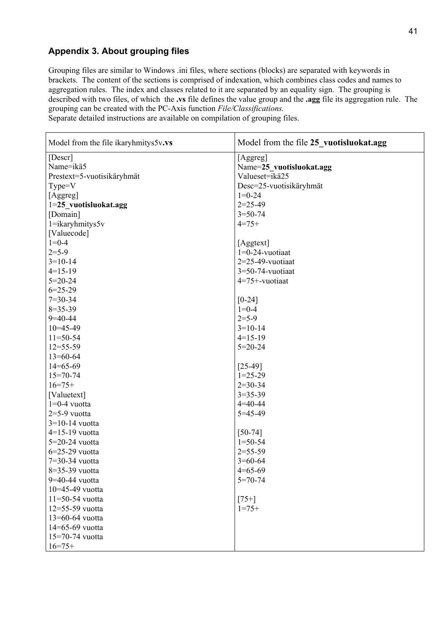# **Appendix 3. About grouping files**

Grouping files are similar to Windows .ini files, where sections (blocks) are separated with keywords in brackets. The content of the sections is comprised of indexation, which combines class codes and names to aggregation rules. The index and classes related to it are separated by an equality sign. The grouping is described with two files, of which the **.vs** file defines the value group and the **.agg** file its aggregation rule. The grouping can be created with the PC-Axis function *File/Classifications.*

Separate detailed instructions are available on compilation of grouping files.

| Model from the file ikaryhmitys5v.vs | Model from the file 25 vuotisluokat.agg |
|--------------------------------------|-----------------------------------------|
| [Descr]                              | [Aggreg]                                |
| Name=ikä5                            | Name=25 vuotisluokat.agg                |
| Prestext=5-vuotisikäryhmät           | Valueset=ikä25                          |
| Type=V                               | Desc=25-vuotisikäryhmät                 |
| [Aggreg]                             | $1=0-24$                                |
| 1=25_vuotisluokat.agg                | $2=25-49$                               |
| [Domain]                             | $3 = 50 - 74$                           |
| 1=ikaryhmitys5v                      | $4=75+$                                 |
| [Valuecode]                          |                                         |
| $1=0-4$                              | [Aggtext]                               |
| $2 = 5 - 9$                          | $1=0-24$ -vuotiaat                      |
| $3=10-14$                            | $2=25-49$ -vuotiaat                     |
| $4=15-19$                            | $3=50-74$ -vuotiaat                     |
| $5=20-24$                            | 4=75+-vuotiaat                          |
| $6=25-29$                            |                                         |
| $7 = 30 - 34$                        | $[0-24]$                                |
| $8 = 35 - 39$                        | $1=0-4$                                 |
| $9=40-44$                            | $2 = 5 - 9$                             |
| $10=45-49$                           | $3=10-14$                               |
| $11=50-54$                           | $4=15-19$                               |
| $12 = 55 - 59$                       | $5 = 20 - 24$                           |
| $13=60-64$                           |                                         |
| $14=65-69$                           | $[25-49]$                               |
| $15 = 70 - 74$                       | $1=25-29$                               |
| $16=75+$                             | $2=30-34$                               |
| [Valuetext]                          | $3 = 35 - 39$                           |
| $1=0-4$ vuotta                       | $4 = 40 - 44$                           |
| $2=5-9$ vuotta                       | $5 = 45 - 49$                           |
| $3=10-14$ vuotta                     |                                         |
| $4=15-19$ vuotta                     | $[50-74]$                               |
| 5=20-24 vuotta                       | $1 = 50 - 54$                           |
| $6=25-29$ vuotta                     | $2 = 55 - 59$                           |
| 7=30-34 vuotta                       | $3=60-64$                               |
| $8=35-39$ vuotta                     | $4=65-69$                               |
| 9=40-44 vuotta                       | $5=70-74$                               |
| 10=45-49 vuotta                      |                                         |
| $11 = 50 - 54$ vuotta                | $[75+]$                                 |
| 12=55-59 vuotta                      | $1 = 75+$                               |
| 13=60-64 vuotta                      |                                         |
| 14=65-69 vuotta                      |                                         |
| 15=70-74 vuotta                      |                                         |
| $16=75+$                             |                                         |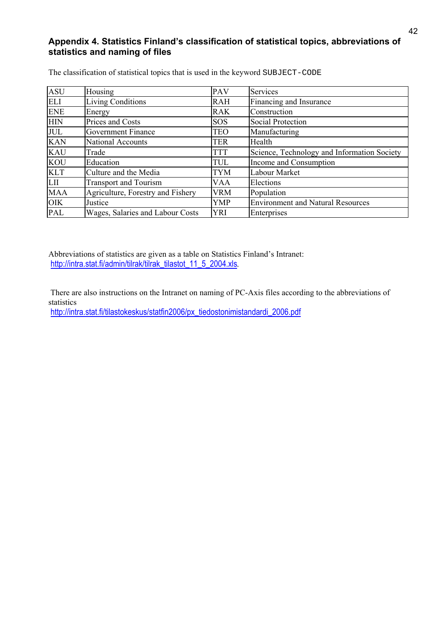## Appendix 4. Statistics Finland's classification of statistical topics, abbreviations of **statistics and naming of files**

| <b>ASU</b> | Housing                           | <b>PAV</b> | <b>Services</b>                             |
|------------|-----------------------------------|------------|---------------------------------------------|
| <b>ELI</b> | <b>Living Conditions</b>          | <b>RAH</b> | Financing and Insurance                     |
| <b>ENE</b> | Energy                            | <b>RAK</b> | Construction                                |
| <b>HIN</b> | Prices and Costs                  | <b>SOS</b> | <b>Social Protection</b>                    |
| <b>JUL</b> | Government Finance                | TEO        | Manufacturing                               |
| <b>KAN</b> | <b>National Accounts</b>          | TER        | Health                                      |
| <b>KAU</b> | Trade                             | TTT        | Science, Technology and Information Society |
| <b>KOU</b> | Education                         | TUL        | Income and Consumption                      |
| <b>KLT</b> | Culture and the Media             | TYM        | Labour Market                               |
| LII        | <b>Transport and Tourism</b>      | VAA        | Elections                                   |
| <b>MAA</b> | Agriculture, Forestry and Fishery | VRM        | Population                                  |
| <b>OIK</b> | Justice                           | YMP        | <b>Environment and Natural Resources</b>    |
| <b>PAL</b> | Wages, Salaries and Labour Costs  | YRI        | Enterprises                                 |

The classification of statistical topics that is used in the keyword SUBJECT-CODE

Abbreviations of statistics are given as a table on Statistics Finland's Intranet: http://intra.stat.fi/admin/tilrak/tilrak\_tilastot\_11\_5\_2004.xls*.*

There are also instructions on the Intranet on naming of PC-Axis files according to the abbreviations of statistics

http://intra.stat.fi/tilastokeskus/statfin2006/px\_tiedostonimistandardi\_2006.pdf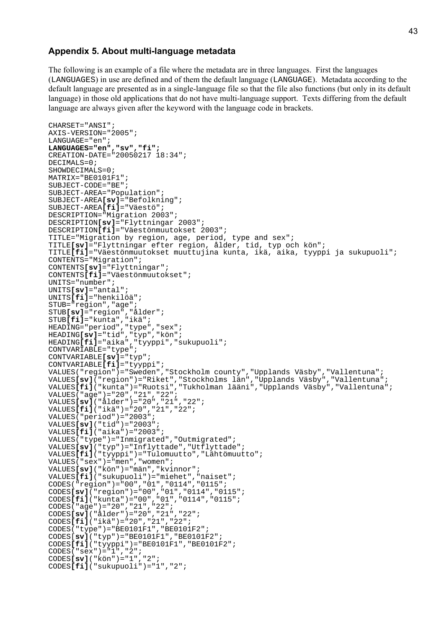#### **Appendix 5. About multi-language metadata**

The following is an example of a file where the metadata are in three languages. First the languages (LANGUAGES) in use are defined and of them the default language (LANGUAGE). Metadata according to the default language are presented as in a single-language file so that the file also functions (but only in its default language) in those old applications that do not have multi-language support. Texts differing from the default language are always given after the keyword with the language code in brackets.

```
CHARSET="ANSI";
AXIS-VERSION="2005";
LANGUAGE="en";
LANGUAGES="en","sv","fi";
CREATION-DATE="20050217 18:34";
DECIMALS=0;
SHOWDECIMALS=0;
MATRIX="BE0101F1";
SUBJECT-CODE="BE";
SUBJECT-AREA="Population";
SUBJECT-AREA[sv]="Befolkning";
SUBJECT-AREA[fi]="Väestö";
DESCRIPTION="Migration 2003";
DESCRIPTION[sv]="Flyttningar 2003";
DESCRIPTION[fi]="Väestönmuutokset 2003";
TITLE="Migration by region, age, period, type and sex";
TITLE[sv]="Flyttningar efter region, ålder, tid, typ och kön";
TITLE[fi]="Väestönmuutokset muuttujina kunta, ikä, aika, tyyppi ja sukupuoli";
CONTENTS="Migration";
CONTENTS[sv]="Flyttningar";
CONTENTS[fi]="Väestönmuutokset";
UNITS="number";
UNITS[sv]="antal";
UNITS[fi]="henkilöä";
STUB="region","age";
STUB[sv]="region","ålder";
STUB[fi]="kunta","ikä";
HEADING="period","type","sex";
HEADING[sv]="tid","typ","kön";
HEADING[fi]="aika","tyyppi","sukupuoli";
CONTVARIABLE="type";
CONTVARIABLE[sv]="typ";
CONTVARIABLE[fi]="tyyppi";
VALUES("region")="Sweden","Stockholm county","Upplands Väsby","Vallentuna";
VALUES[sv]("region")="Riket","Stockholms län","Upplands Väsby","Vallentuna";
VALUES[fi]("kunta")="Ruotsi","Tukholman lääni","Upplands Väsby","Vallentuna";
VALUES("age")="20","21","22";
VALUES[sv]("ålder")="20","21","22";
VALUES[fi]("ikä")="20","21","22";
VALUES("period")="2003";
VALUES[sv]("tid")="2003";
VALUES[fi]("aika")="2003";
VALUES("type")="Inmigrated","Outmigrated";
VALUES[sv]("typ")="Inflyttade","Utflyttade";
VALUES[fi]("tyyppi")="Tulomuutto","Lähtömuutto";
VALUES("sex")="men","women";
VALUES[sv]("kön")="män","kvinnor";
VALUES[fi]("sukupuoli")="miehet","naiset";
CODES("region")="00","01","0114","0115";
CODES[sv]("region")="00","01","0114","0115";
CODES[fi]("kunta")="00","01","0114","0115";
CODES("age")="20","21","22";
CODES[sv]("ålder")="20","21","22";
CODES[fi]("ikä")="20","21","22";
CODES("type")="BE0101F1","BE0101F2";
CODES[sv]("typ")="BE0101F1","BE0101F2";
CODES[fi]("tyyppi")="BE0101F1","BE0101F2";
CODES("sex")="1","2";
CODES[sv]("kön")="1","2";
CODES[fi]("sukupuoli")="1","2";
```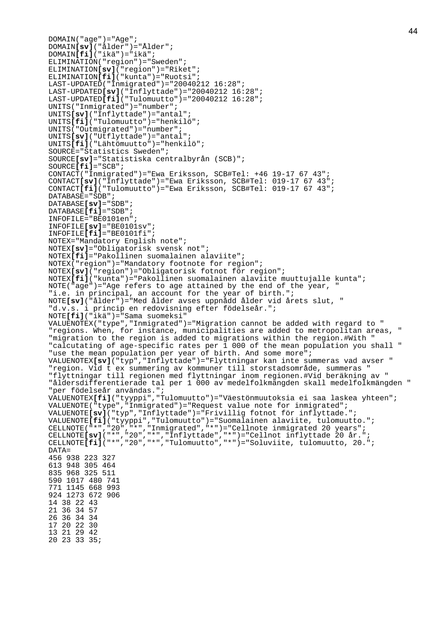```
DOMAIN("age") = "Age";
DOMAIN[sv]("ålder")="Ålder";
DOMAIN[fi]("ikä")="ikä";
ELIMINATION("region")="Sweden";
ELIMINATION[sv]("region")="Riket";
ELIMINATION[fi]("kunta")="Ruotsi";
LAST-UPDATED("Inmigrated")="20040212 16:28";
LAST-UPDATED[sv]("Inflyttade")="20040212 16:28";
LAST-UPDATED[fi]("Tulomuutto")="20040212 16:28";
UNITS("Inmigrated")="number";
UNITS[sv]("Inflyttade")="antal";
UNITS[fi]("Tulomuutto")="henkilö";
UNITS("Outmigrated")="number";
UNITS[sv]("Utflyttade")="antal";
UNITS[fi]("Lähtömuutto")="henkilö";
SOURCE="Statistics Sweden";
SOURCE[sv]="Statistiska centralbyrån (SCB)";
SOURCE[fi]="SCB";
CONTACT("Inmigrated")="Ewa Eriksson, SCB#Tel: +46 19-17 67 43";
CONTACT[sv]("Inflyttade")="Ewa Eriksson, SCB#Tel: 019-17 67 43";
CONTACT[fi]("Tulomuutto")="Ewa Eriksson, SCB#Tel: 019-17 67 43";
DATABASE="SDB";
DATABASE[sv]="SDB";
DATABASE[fi]="SDB";
INFOFILE="BE0101en";
INFOFILE[sv]="BE0101sv";
INFOFILE[fi]="BE0101fi";
NOTEX="Mandatory English note";
NOTEX[sv]="Obligatorisk svensk not";
NOTEX[fi]="Pakollinen suomalainen alaviite";
NOTEX("region")="Mandatory footnote for region";
NOTEX[sv]("region")="Obligatorisk fotnot för region";
NOTEX[fi]("kunta")="Pakollinen suomalainen alaviite muuttujalle kunta";
NOTE("age")="Age refers to age attained by the end of the year, "
"i.e. in principal, an account for the year of birth.";
NOTE[sv]("ålder")="Med ålder avses uppnådd ålder vid årets slut, "
"d.v.s. i princip en redovisning efter födelseår.";
NOTE[fi]("ikä")="Sama suomeksi"
VALUENOTEX("type","Inmigrated")="Migration cannot be added with regard to "
"regions. When, for instance, municipalities are added to metropolitan areas, "
"migration to the region is added to migrations within the region.#With "
"calcutating of age-specific rates per 1 000 of the mean population you shall "
"use the mean population per year of birth. And some more";
VALUENOTEX[sv]("typ","Inflyttade")="Flyttningar kan inte summeras vad avser "
"region. Vid t ex summering av kommuner till storstadsområde, summeras "
"flyttningar till regionen med flyttningar inom regionen.#Vid beräkning av "
"åldersdifferentierade tal per 1 000 av medelfolkmängden skall medelfolkmängden "
"per födelseår användas.";
VALUENOTEX[fi]("tyyppi","Tulomuutto")="Väestönmuutoksia ei saa laskea yhteen";
VALUENOTE("type","Inmigrated")="Request value note for inmigrated";
VALUENOTE[sv]("typ","Inflyttade")="Frivillig fotnot för inflyttade.";
VALUENOTE[fi]("tyyppi","Tulomuutto")="Suomalainen alaviite, tulomuutto.";
CELLNOTE("*","20","*","Inmigrated","*")="Cellnote inmigrated 20 years";
CELLNOTE[sv]("*","20","*","Inflyttade","*")="Cellnot inflyttade 20 år.";
CELLNOTE[fi]("*","20","*","Tulomuutto","*")="Soluviite, tulomuutto, 20.";
DATA=
456 938 223 327
613 948 305 464
835 968 325 511
590 1017 480 741
771 1145 668 993
924 1273 672 906
14 38 22 43
21 36 34 57
26 36 34 34
17 20 22 30
13 21 29 42
20 23 33 35;
```
44